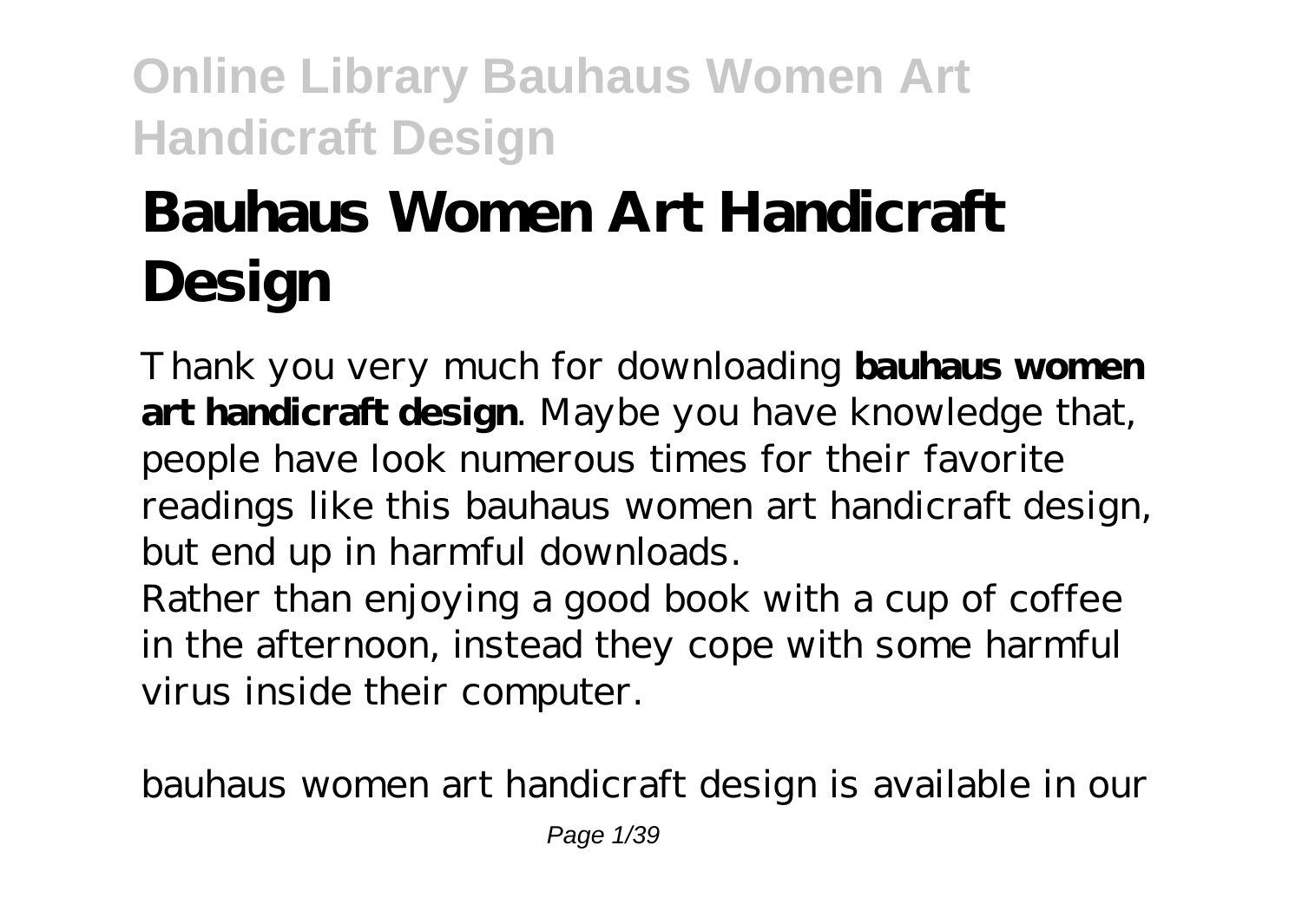# **Bauhaus Women Art Handicraft Design**

Thank you very much for downloading **bauhaus women art handicraft design**. Maybe you have knowledge that, people have look numerous times for their favorite readings like this bauhaus women art handicraft design, but end up in harmful downloads.

Rather than enjoying a good book with a cup of coffee in the afternoon, instead they cope with some harmful virus inside their computer.

bauhaus women art handicraft design is available in our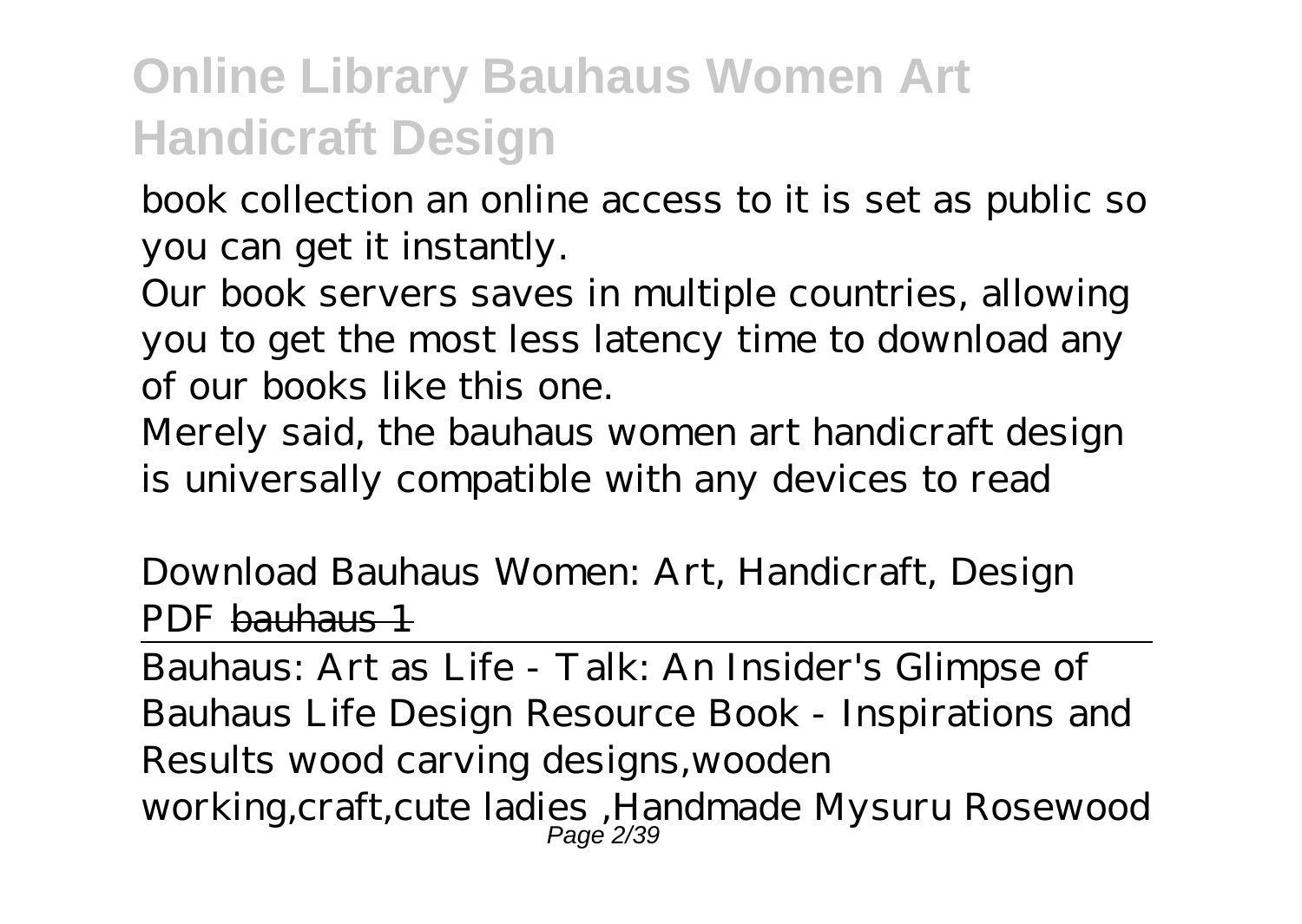book collection an online access to it is set as public so you can get it instantly.

Our book servers saves in multiple countries, allowing you to get the most less latency time to download any of our books like this one.

Merely said, the bauhaus women art handicraft design is universally compatible with any devices to read

*Download Bauhaus Women: Art, Handicraft, Design PDF* bauhaus 1

Bauhaus: Art as Life - Talk: An Insider's Glimpse of Bauhaus Life Design Resource Book - Inspirations and Results *wood carving designs,wooden working,craft,cute ladies ,Handmade Mysuru Rosewood* Page 2/39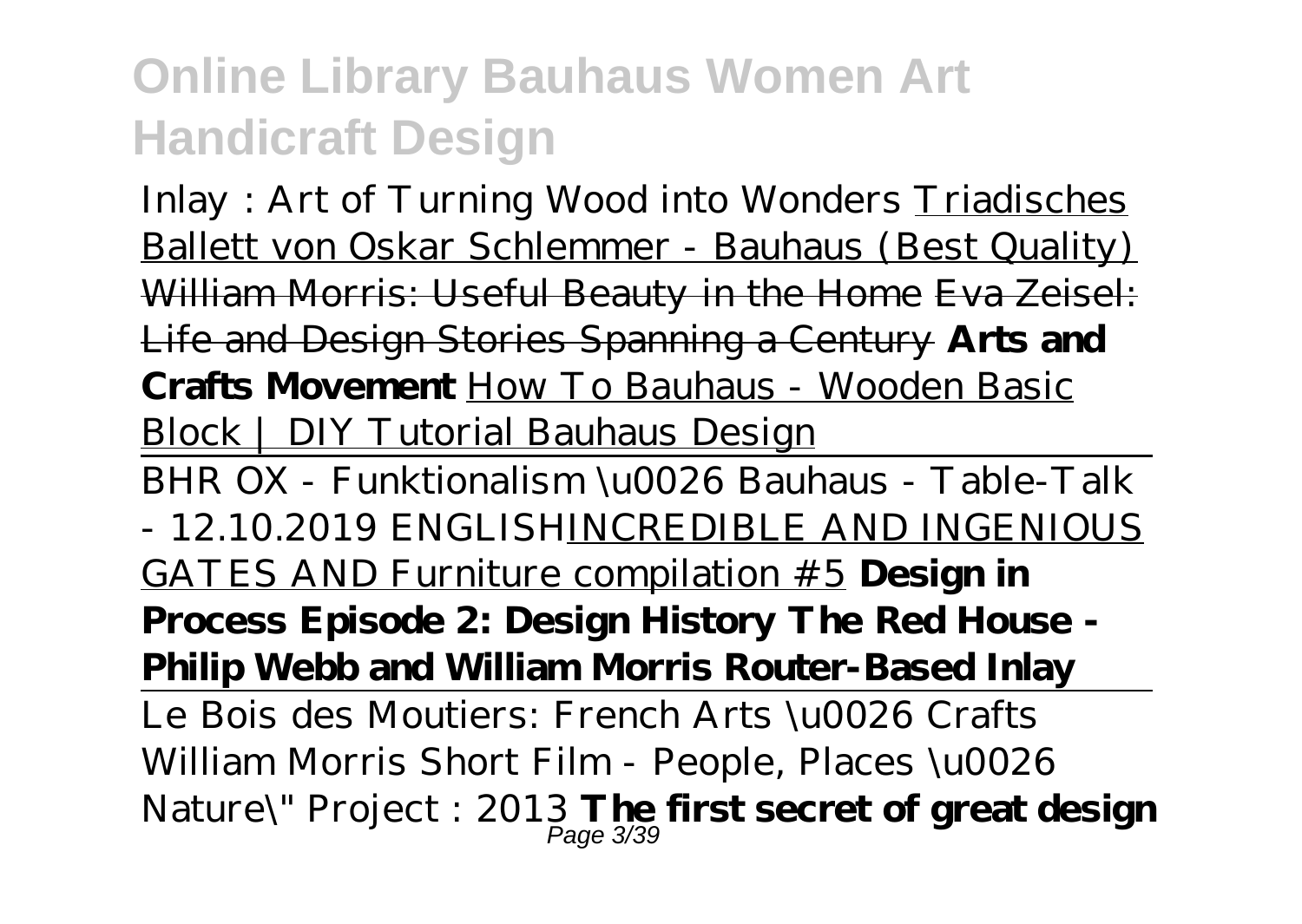*Inlay : Art of Turning Wood into Wonders* Triadisches Ballett von Oskar Schlemmer - Bauhaus (Best Quality) William Morris: Useful Beauty in the Home Eva Zeisel: Life and Design Stories Spanning a Century **Arts and Crafts Movement** How To Bauhaus - Wooden Basic Block | DIY Tutorial Bauhaus Design

BHR OX - Funktionalism \u0026 Bauhaus - Table-Talk - 12.10.2019 ENGLISHINCREDIBLE AND INGENIOUS GATES AND Furniture compilation #5 **Design in Process Episode 2: Design History The Red House - Philip Webb and William Morris Router-Based Inlay** Le Bois des Moutiers: French Arts \u0026 Crafts *William Morris Short Film - People, Places \u0026*

*Nature\" Project : 2013* **The first secret of great design** Page 3/39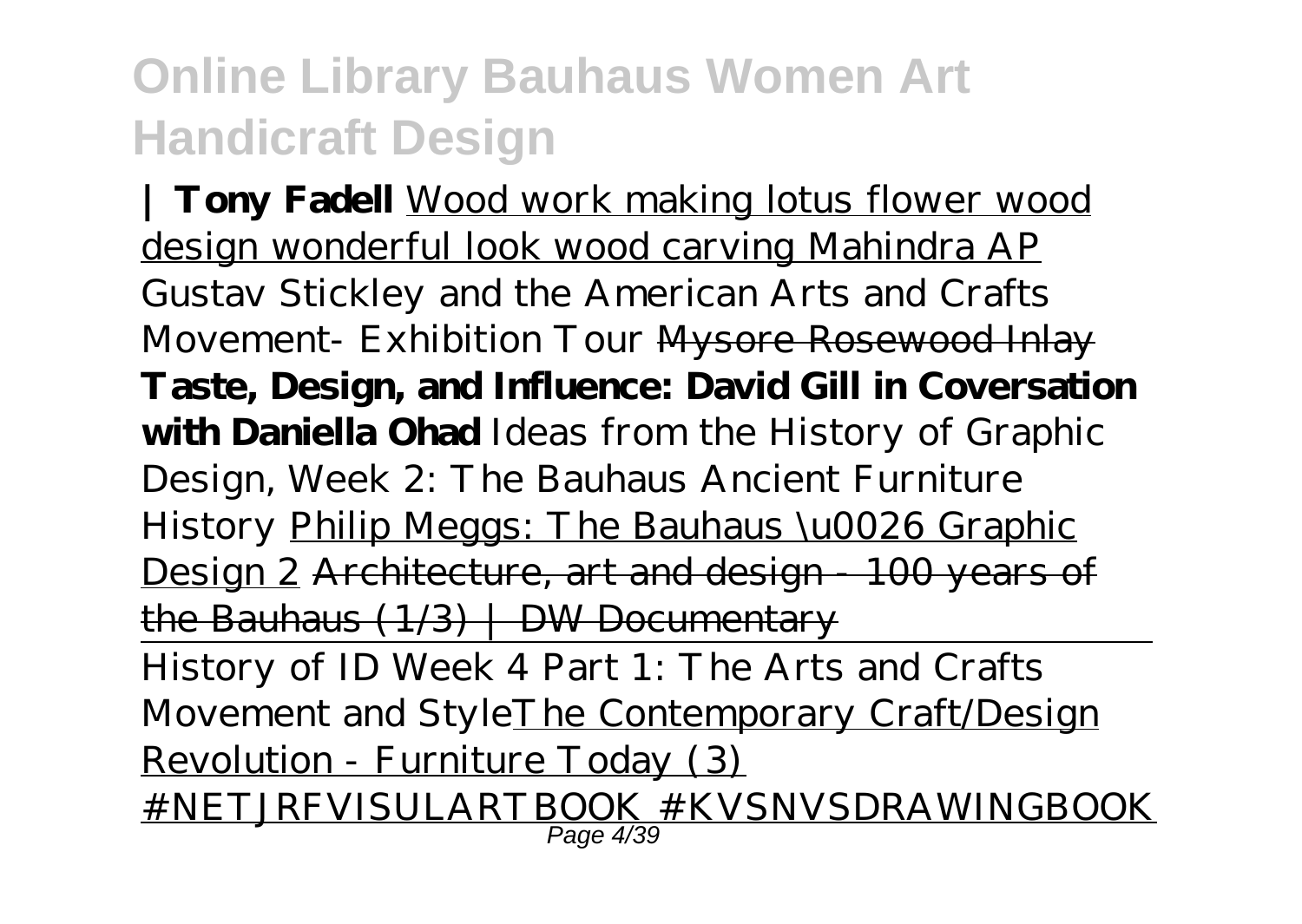**| Tony Fadell** Wood work making lotus flower wood design wonderful look wood carving Mahindra AP *Gustav Stickley and the American Arts and Crafts Movement- Exhibition Tour* Mysore Rosewood Inlay **Taste, Design, and Influence: David Gill in Coversation with Daniella Ohad** *Ideas from the History of Graphic Design, Week 2: The Bauhaus Ancient Furniture History* Philip Meggs: The Bauhaus \u0026 Graphic Design 2 Architecture, art and design - 100 years of the Bauhaus  $(1/3)$   $\mid$  DW Documentary History of ID Week 4 Part 1: The Arts and Crafts Movement and StyleThe Contemporary Craft/Design Revolution - Furniture Today (3)

#NETJRFVISULARTBOOK #KVSNVSDRAWINGBOOK Page 4/39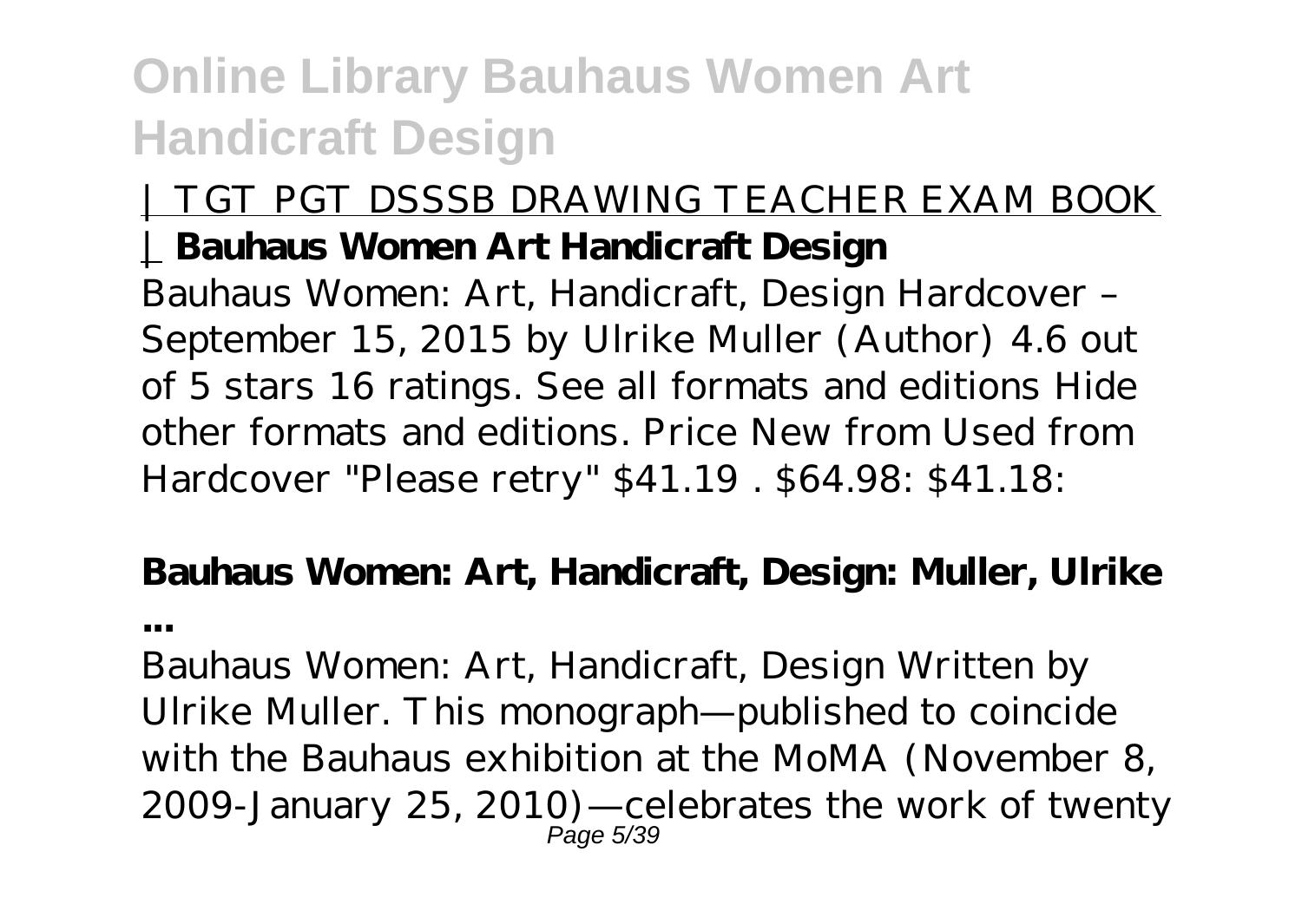**...**

#### | TGT PGT DSSSB DRAWING TEACHER EXAM BOOK | **Bauhaus Women Art Handicraft Design**

Bauhaus Women: Art, Handicraft, Design Hardcover – September 15, 2015 by Ulrike Muller (Author) 4.6 out of 5 stars 16 ratings. See all formats and editions Hide other formats and editions. Price New from Used from Hardcover "Please retry" \$41.19 . \$64.98: \$41.18:

# **Bauhaus Women: Art, Handicraft, Design: Muller, Ulrike**

Bauhaus Women: Art, Handicraft, Design Written by Ulrike Muller. This monograph—published to coincide with the Bauhaus exhibition at the MoMA (November 8, 2009-January 25, 2010)—celebrates the work of twenty Page 5/39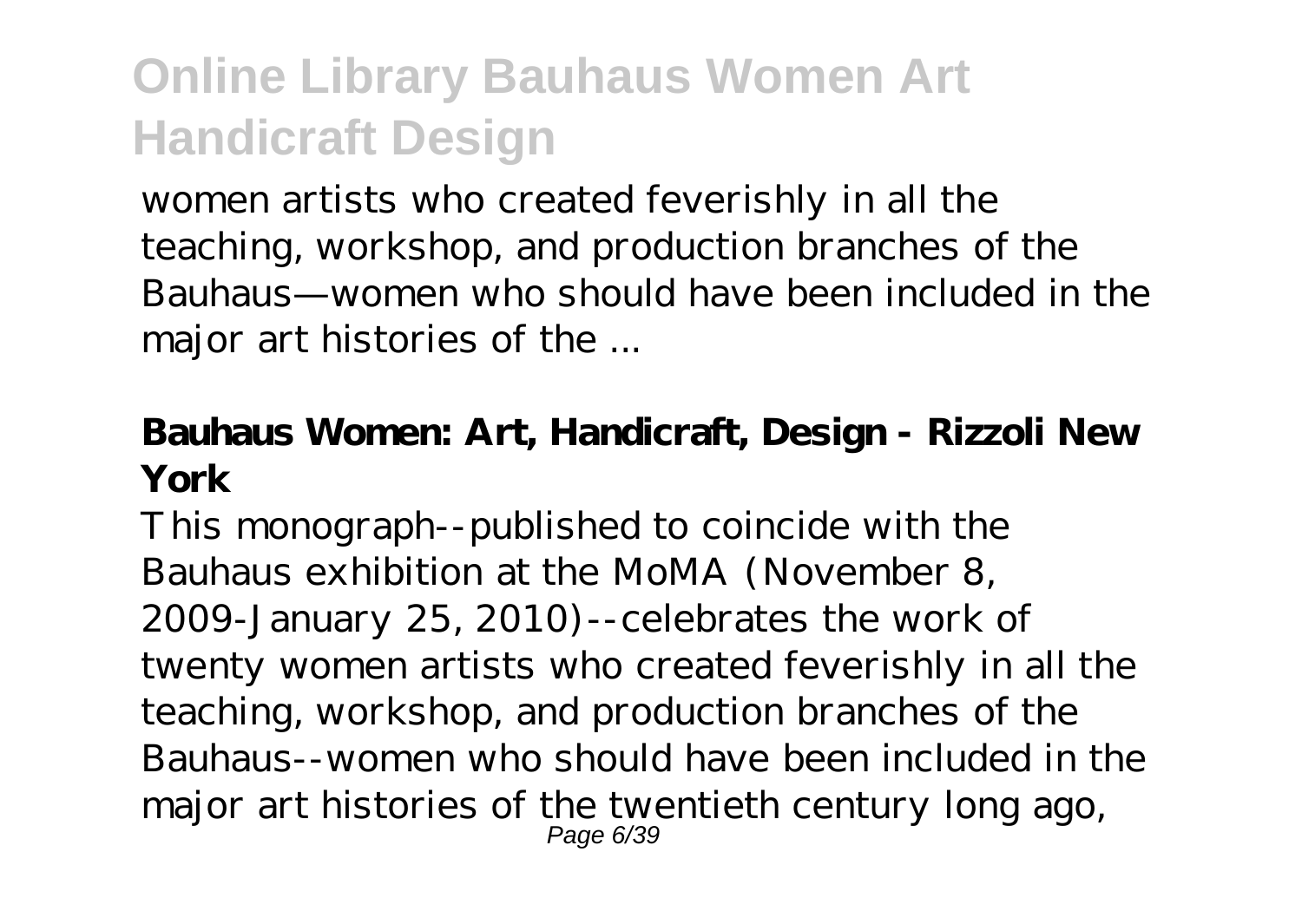women artists who created feverishly in all the teaching, workshop, and production branches of the Bauhaus—women who should have been included in the major art histories of the ...

#### **Bauhaus Women: Art, Handicraft, Design - Rizzoli New York**

This monograph--published to coincide with the Bauhaus exhibition at the MoMA (November 8, 2009-January 25, 2010)--celebrates the work of twenty women artists who created feverishly in all the teaching, workshop, and production branches of the Bauhaus--women who should have been included in the major art histories of the twentieth century long ago, Page 6/39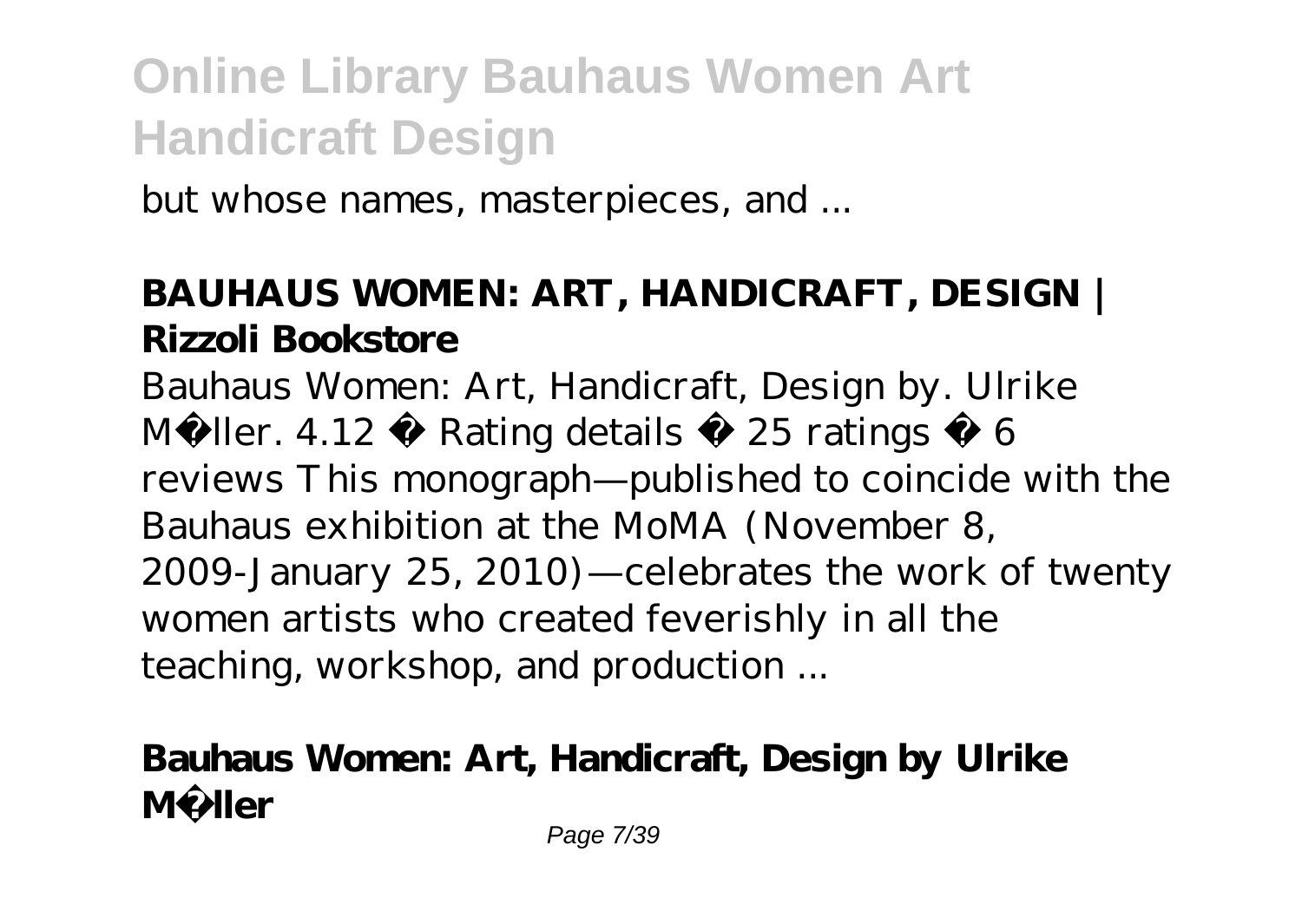but whose names, masterpieces, and ...

### **BAUHAUS WOMEN: ART, HANDICRAFT, DESIGN | Rizzoli Bookstore**

Bauhaus Women: Art, Handicraft, Design by. Ulrike Müller.  $4.12 \cdot$  Rating details  $\cdot$  25 ratings  $\cdot$  6 reviews This monograph—published to coincide with the Bauhaus exhibition at the MoMA (November 8, 2009-January 25, 2010)—celebrates the work of twenty women artists who created feverishly in all the teaching, workshop, and production ...

### **Bauhaus Women: Art, Handicraft, Design by Ulrike Müller**

Page 7/39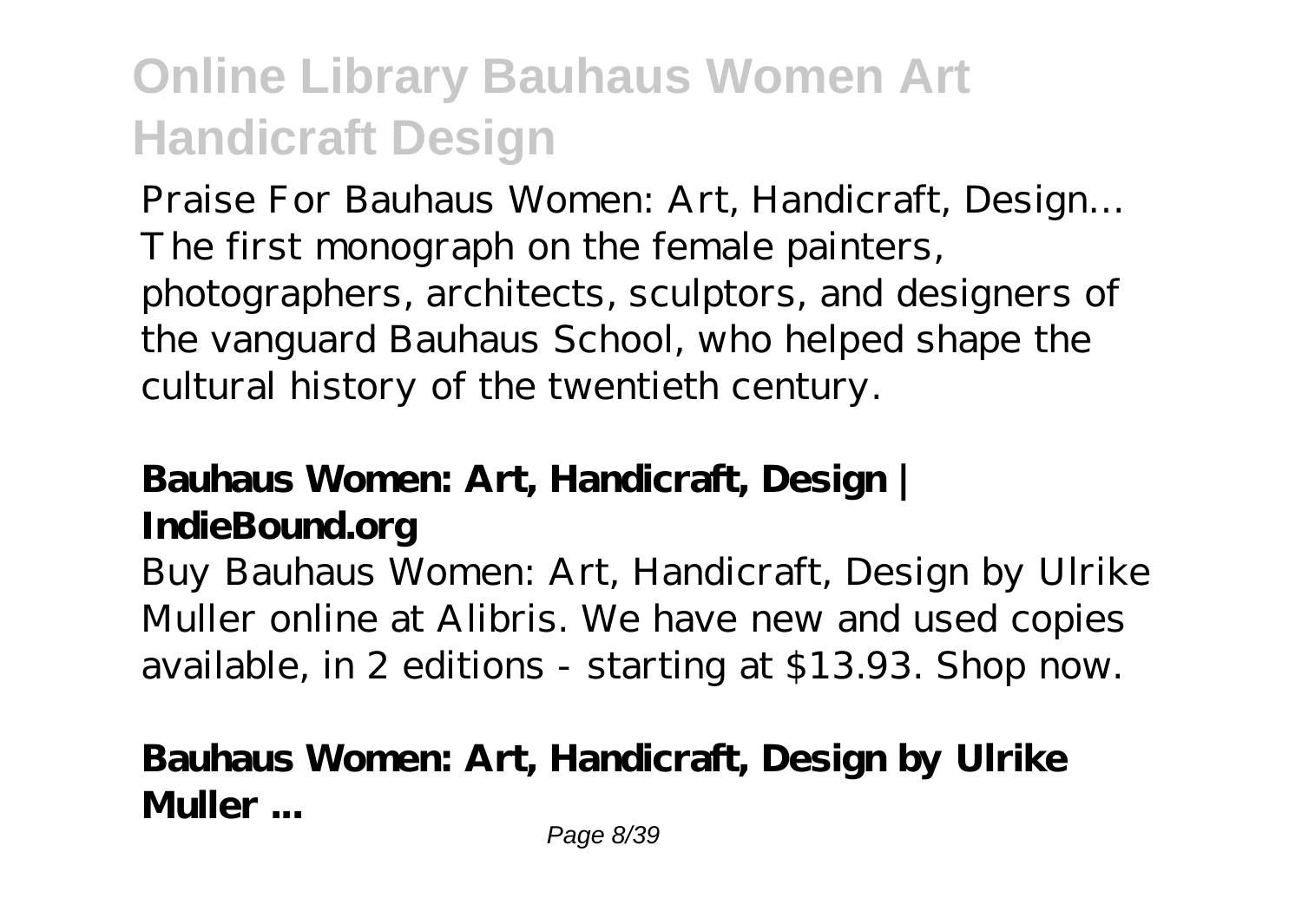Praise For Bauhaus Women: Art, Handicraft, Design… The first monograph on the female painters, photographers, architects, sculptors, and designers of the vanguard Bauhaus School, who helped shape the cultural history of the twentieth century.

### **Bauhaus Women: Art, Handicraft, Design | IndieBound.org**

Buy Bauhaus Women: Art, Handicraft, Design by Ulrike Muller online at Alibris. We have new and used copies available, in 2 editions - starting at \$13.93. Shop now.

### **Bauhaus Women: Art, Handicraft, Design by Ulrike Muller ...**

Page 8/39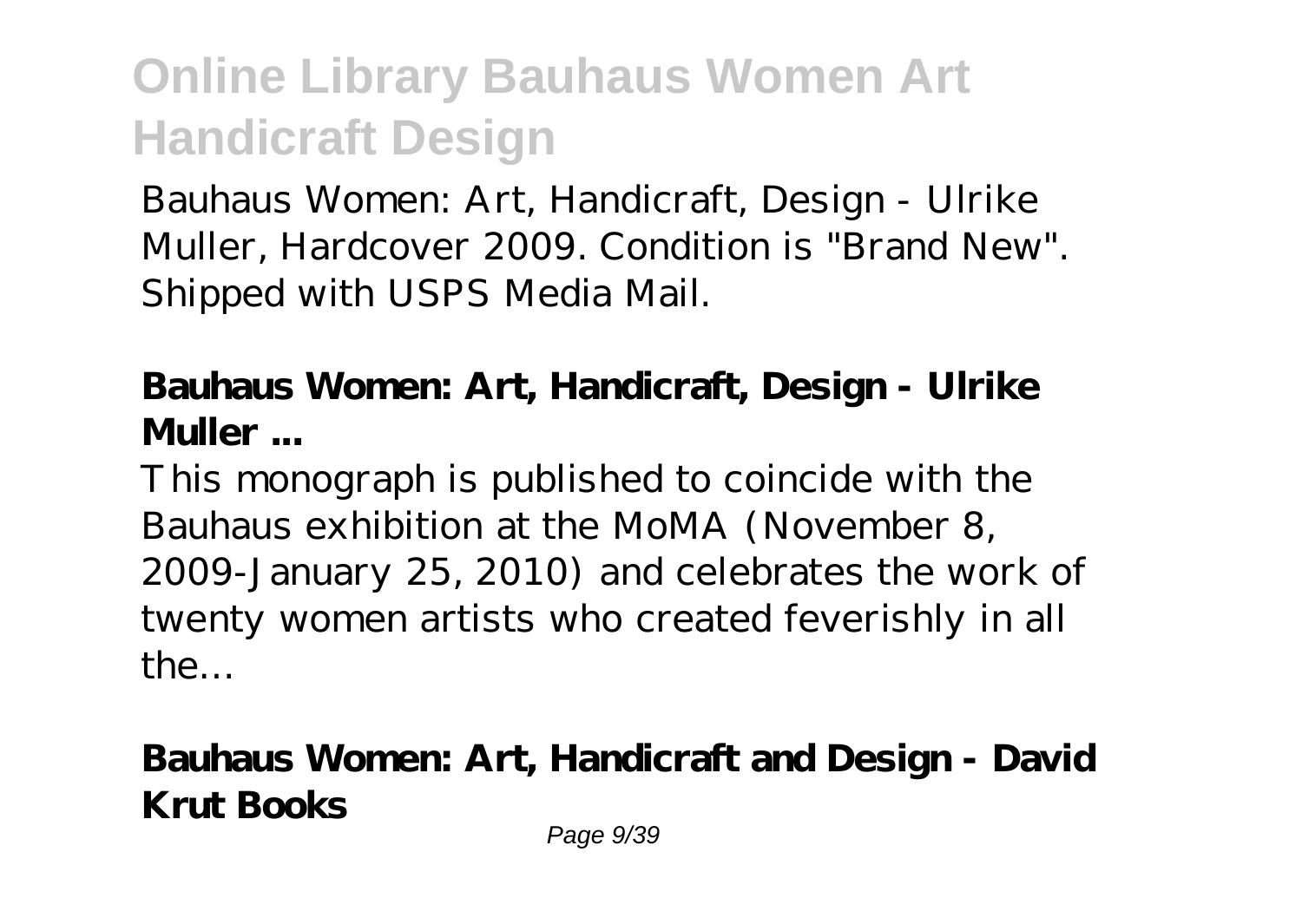Bauhaus Women: Art, Handicraft, Design - Ulrike Muller, Hardcover 2009. Condition is "Brand New". Shipped with USPS Media Mail.

#### **Bauhaus Women: Art, Handicraft, Design - Ulrike Muller ...**

This monograph is published to coincide with the Bauhaus exhibition at the MoMA (November 8, 2009-January 25, 2010) and celebrates the work of twenty women artists who created feverishly in all the…

### **Bauhaus Women: Art, Handicraft and Design - David Krut Books**

Page 9/39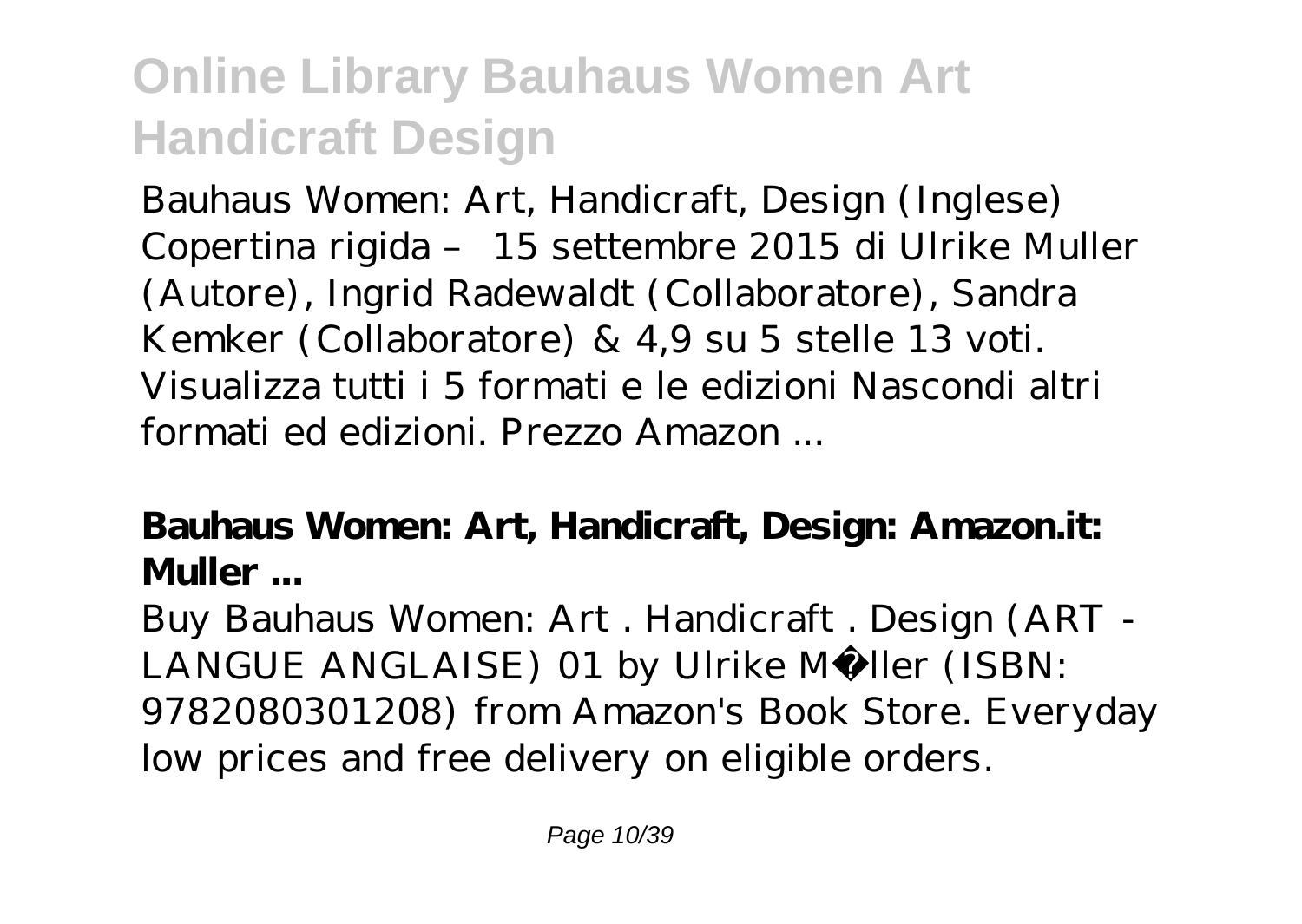Bauhaus Women: Art, Handicraft, Design (Inglese) Copertina rigida – 15 settembre 2015 di Ulrike Muller (Autore), Ingrid Radewaldt (Collaboratore), Sandra Kemker (Collaboratore) & 4,9 su 5 stelle 13 voti. Visualizza tutti i 5 formati e le edizioni Nascondi altri formati ed edizioni. Prezzo Amazon ...

### **Bauhaus Women: Art, Handicraft, Design: Amazon.it: Muller ...**

Buy Bauhaus Women: Art . Handicraft . Design (ART - LANGUE ANGLAISE) 01 by Ulrike Müller (ISBN: 9782080301208) from Amazon's Book Store. Everyday low prices and free delivery on eligible orders.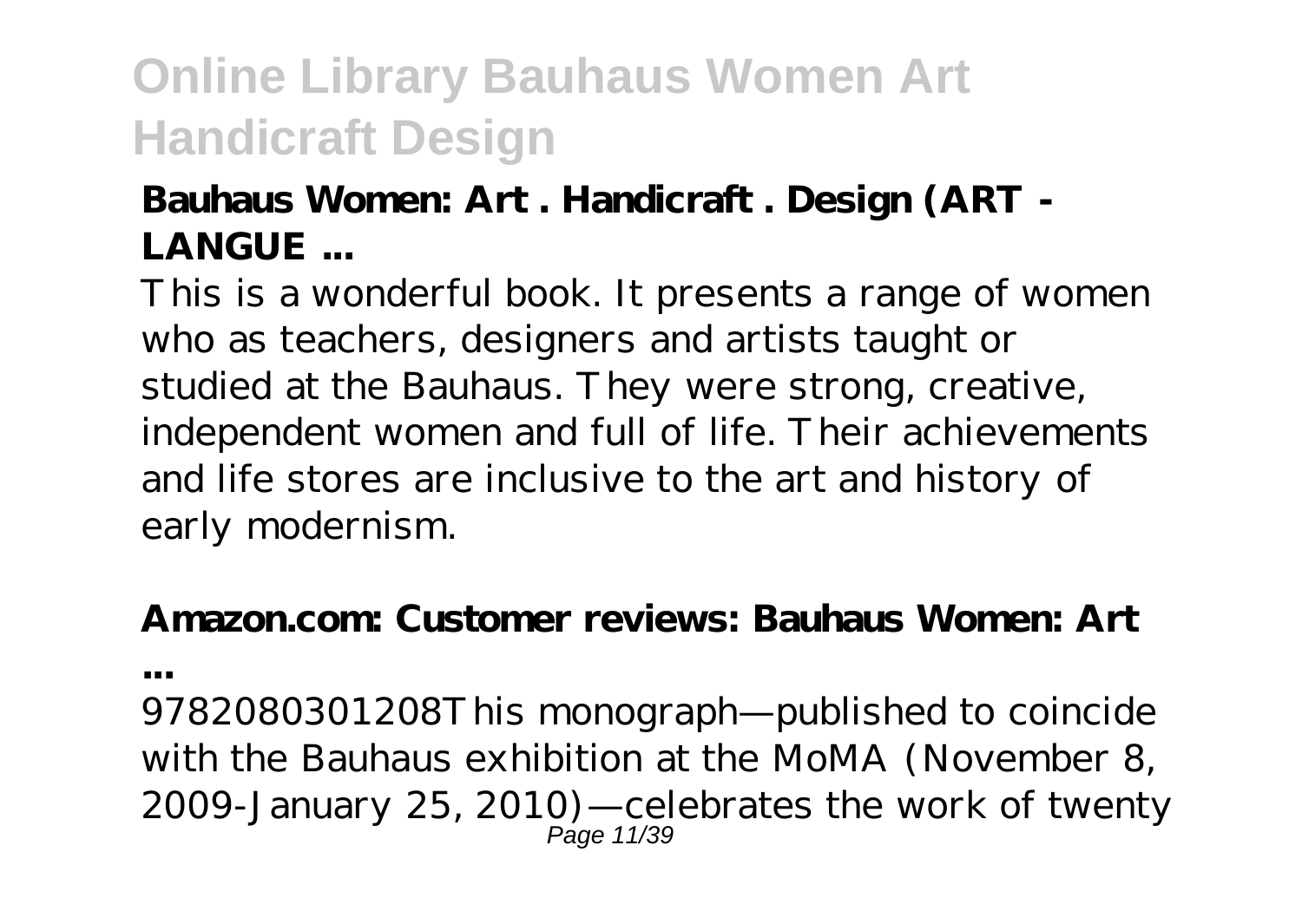#### **Bauhaus Women: Art . Handicraft . Design (ART - LANGUE ...**

This is a wonderful book. It presents a range of women who as teachers, designers and artists taught or studied at the Bauhaus. They were strong, creative, independent women and full of life. Their achievements and life stores are inclusive to the art and history of early modernism.

### **Amazon.com: Customer reviews: Bauhaus Women: Art**

**...**

9782080301208This monograph—published to coincide with the Bauhaus exhibition at the MoMA (November 8, 2009-January 25, 2010)—celebrates the work of twenty Page 11/39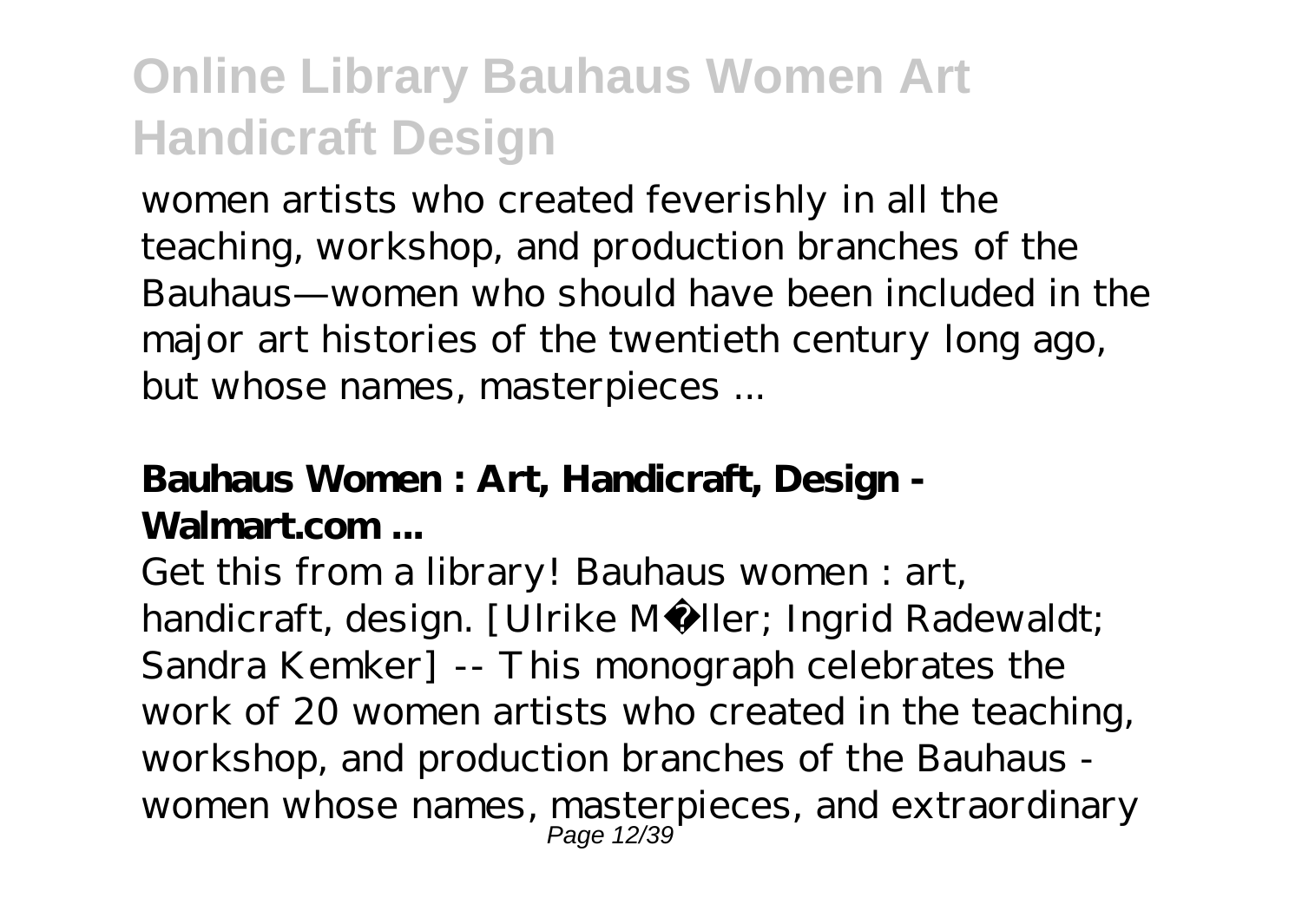women artists who created feverishly in all the teaching, workshop, and production branches of the Bauhaus—women who should have been included in the major art histories of the twentieth century long ago, but whose names, masterpieces ...

#### **Bauhaus Women : Art, Handicraft, Design - Walmart.com ...**

Get this from a library! Bauhaus women : art, handicraft, design. [Ulrike Müller; Ingrid Radewaldt; Sandra Kemker] -- This monograph celebrates the work of 20 women artists who created in the teaching, workshop, and production branches of the Bauhaus women whose names, masterpieces, and extraordinary Page 12/39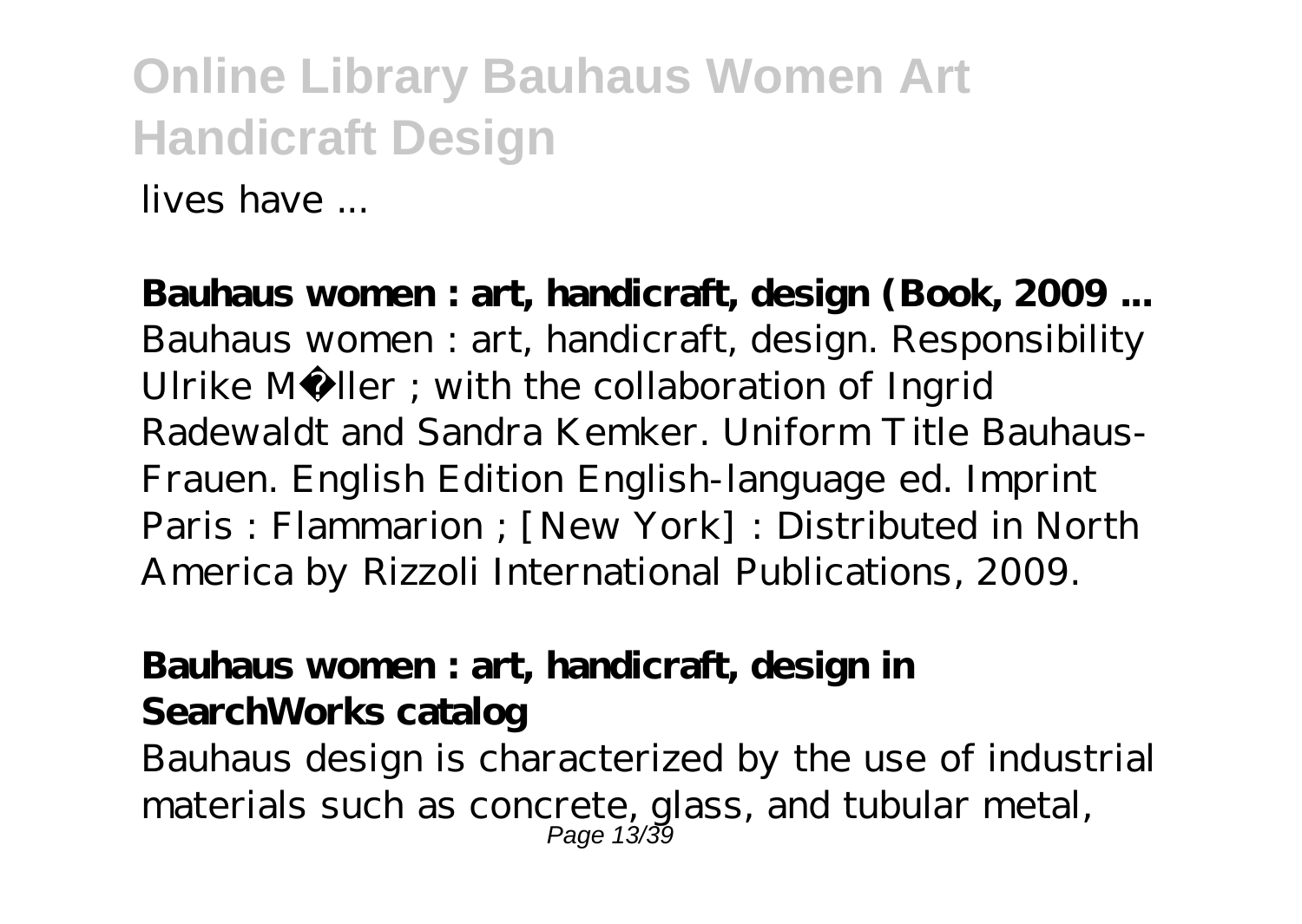lives have ...

**Bauhaus women : art, handicraft, design (Book, 2009 ...** Bauhaus women : art, handicraft, design. Responsibility Ulrike Müller ; with the collaboration of Ingrid Radewaldt and Sandra Kemker. Uniform Title Bauhaus-Frauen. English Edition English-language ed. Imprint Paris : Flammarion ; [New York] : Distributed in North America by Rizzoli International Publications, 2009.

#### **Bauhaus women : art, handicraft, design in SearchWorks catalog**

Bauhaus design is characterized by the use of industrial materials such as concrete, glass, and tubular metal, Page 13/39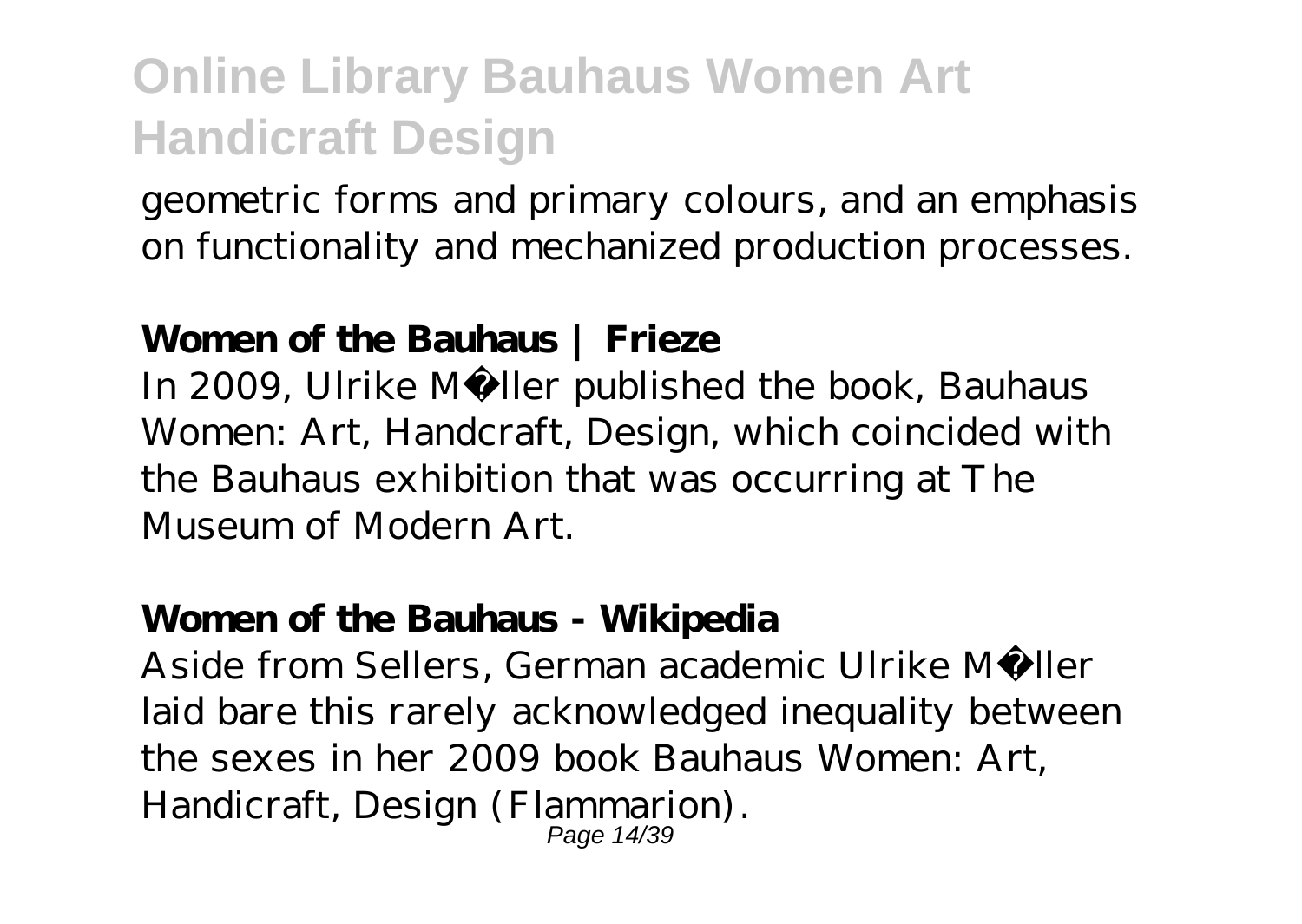geometric forms and primary colours, and an emphasis on functionality and mechanized production processes.

#### **Women of the Bauhaus | Frieze**

In 2009, Ulrike Müller published the book, Bauhaus Women: Art, Handcraft, Design, which coincided with the Bauhaus exhibition that was occurring at The Museum of Modern Art.

#### **Women of the Bauhaus - Wikipedia**

Aside from Sellers, German academic Ulrike Müller laid bare this rarely acknowledged inequality between the sexes in her 2009 book Bauhaus Women: Art, Handicraft, Design (Flammarion). Page 14/39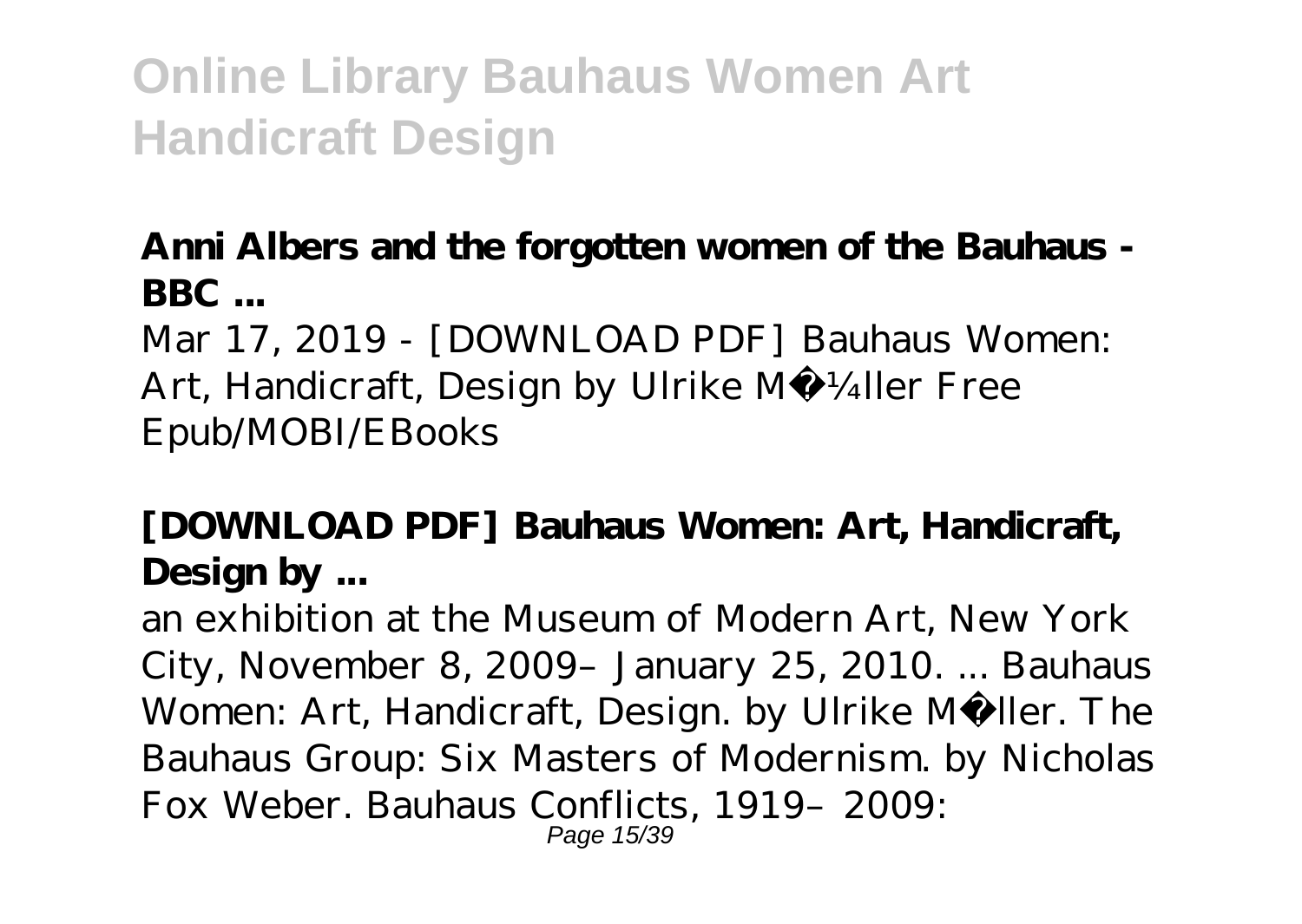#### **Anni Albers and the forgotten women of the Bauhaus - BBC ...**

Mar 17, 2019 - [DOWNLOAD PDF] Bauhaus Women: Art, Handicraft, Design by Ulrike MÃ ¼ller Free Epub/MOBI/EBooks

### **[DOWNLOAD PDF] Bauhaus Women: Art, Handicraft, Design by ...**

an exhibition at the Museum of Modern Art, New York City, November 8, 2009–January 25, 2010. ... Bauhaus Women: Art, Handicraft, Design. by Ulrike Müller. The Bauhaus Group: Six Masters of Modernism. by Nicholas Fox Weber. Bauhaus Conflicts, 1919–2009: Page 15/39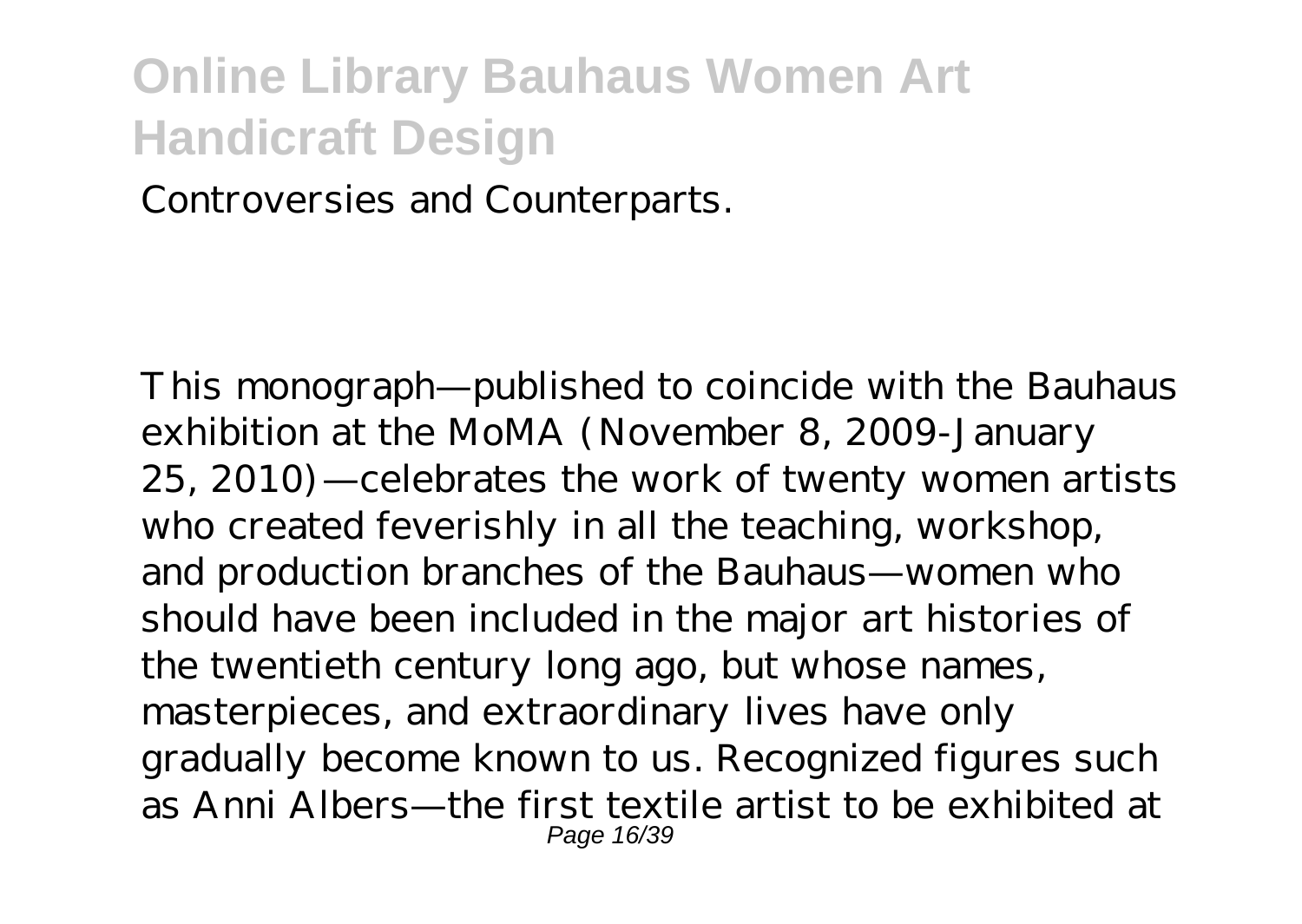Controversies and Counterparts.

This monograph—published to coincide with the Bauhaus exhibition at the MoMA (November 8, 2009-January 25, 2010)—celebrates the work of twenty women artists who created feverishly in all the teaching, workshop, and production branches of the Bauhaus—women who should have been included in the major art histories of the twentieth century long ago, but whose names, masterpieces, and extraordinary lives have only gradually become known to us. Recognized figures such as Anni Albers—the first textile artist to be exhibited at Page 16/39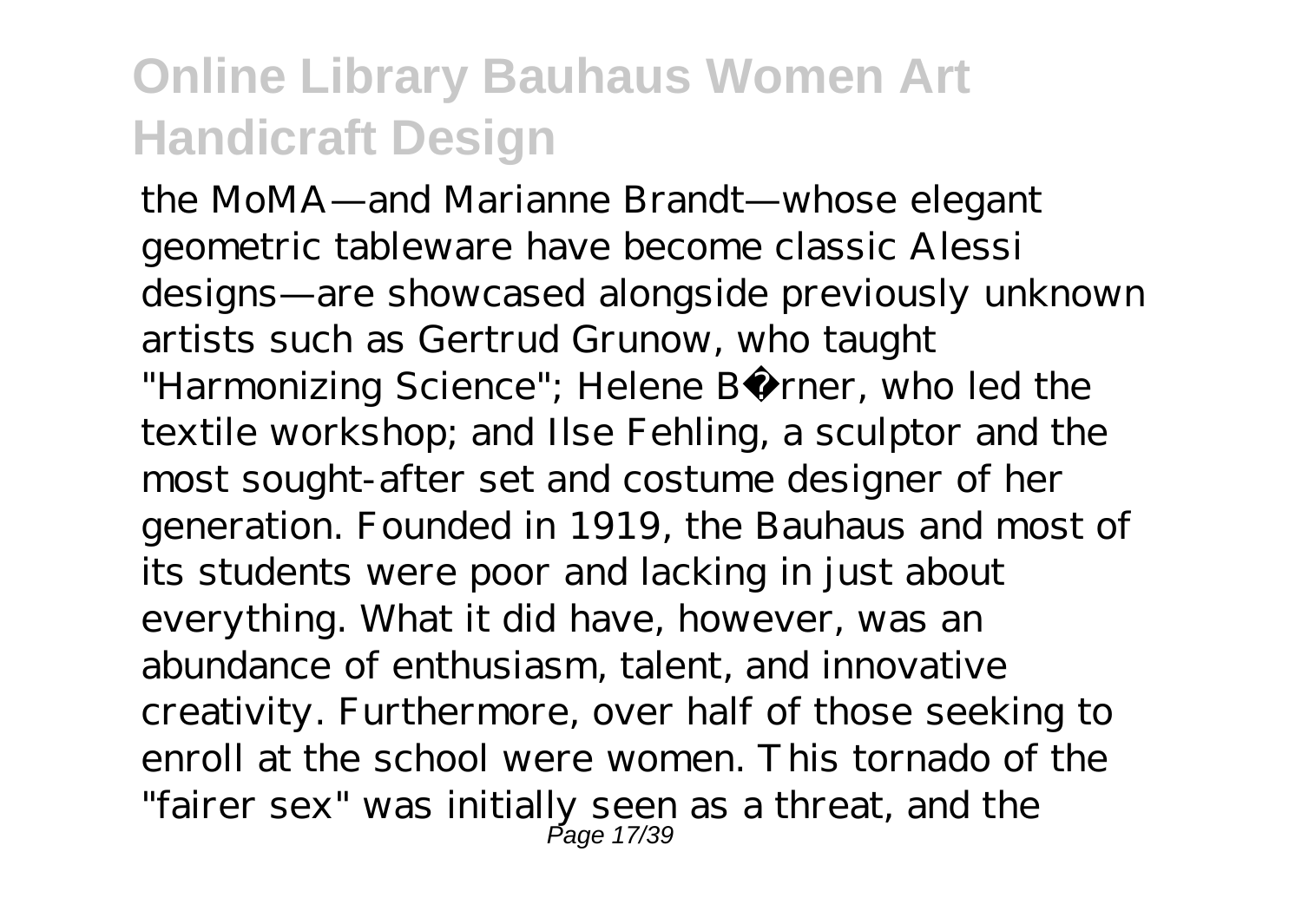the MoMA—and Marianne Brandt—whose elegant geometric tableware have become classic Alessi designs—are showcased alongside previously unknown artists such as Gertrud Grunow, who taught "Harmonizing Science"; Helene Börner, who led the textile workshop; and Ilse Fehling, a sculptor and the most sought-after set and costume designer of her generation. Founded in 1919, the Bauhaus and most of its students were poor and lacking in just about everything. What it did have, however, was an abundance of enthusiasm, talent, and innovative creativity. Furthermore, over half of those seeking to enroll at the school were women. This tornado of the "fairer sex" was initially seen as a threat, and the Page 17/39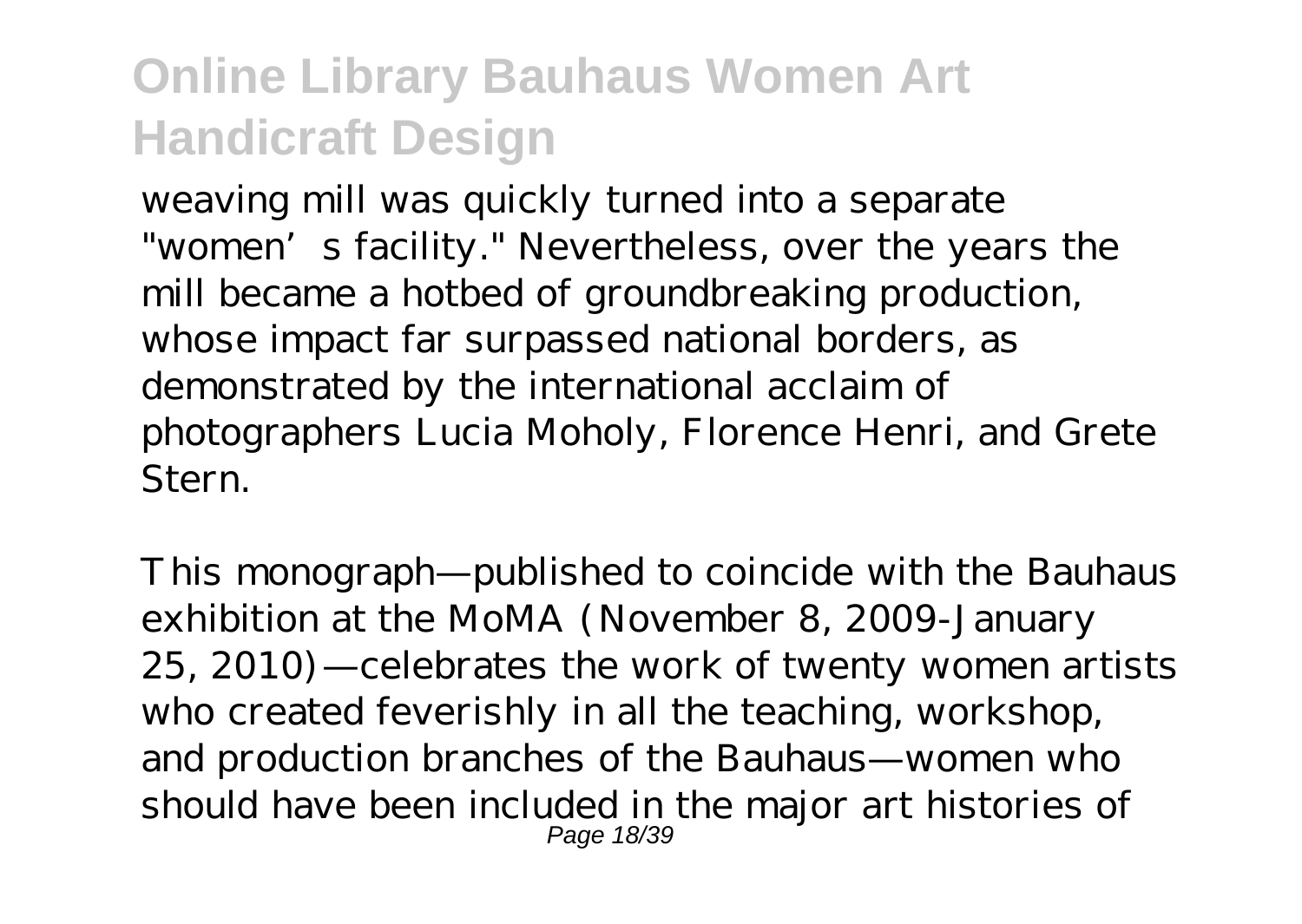weaving mill was quickly turned into a separate "women's facility." Nevertheless, over the years the mill became a hotbed of groundbreaking production, whose impact far surpassed national borders, as demonstrated by the international acclaim of photographers Lucia Moholy, Florence Henri, and Grete Stern.

This monograph—published to coincide with the Bauhaus exhibition at the MoMA (November 8, 2009-January 25, 2010)—celebrates the work of twenty women artists who created feverishly in all the teaching, workshop, and production branches of the Bauhaus—women who should have been included in the major art histories of Page 18/39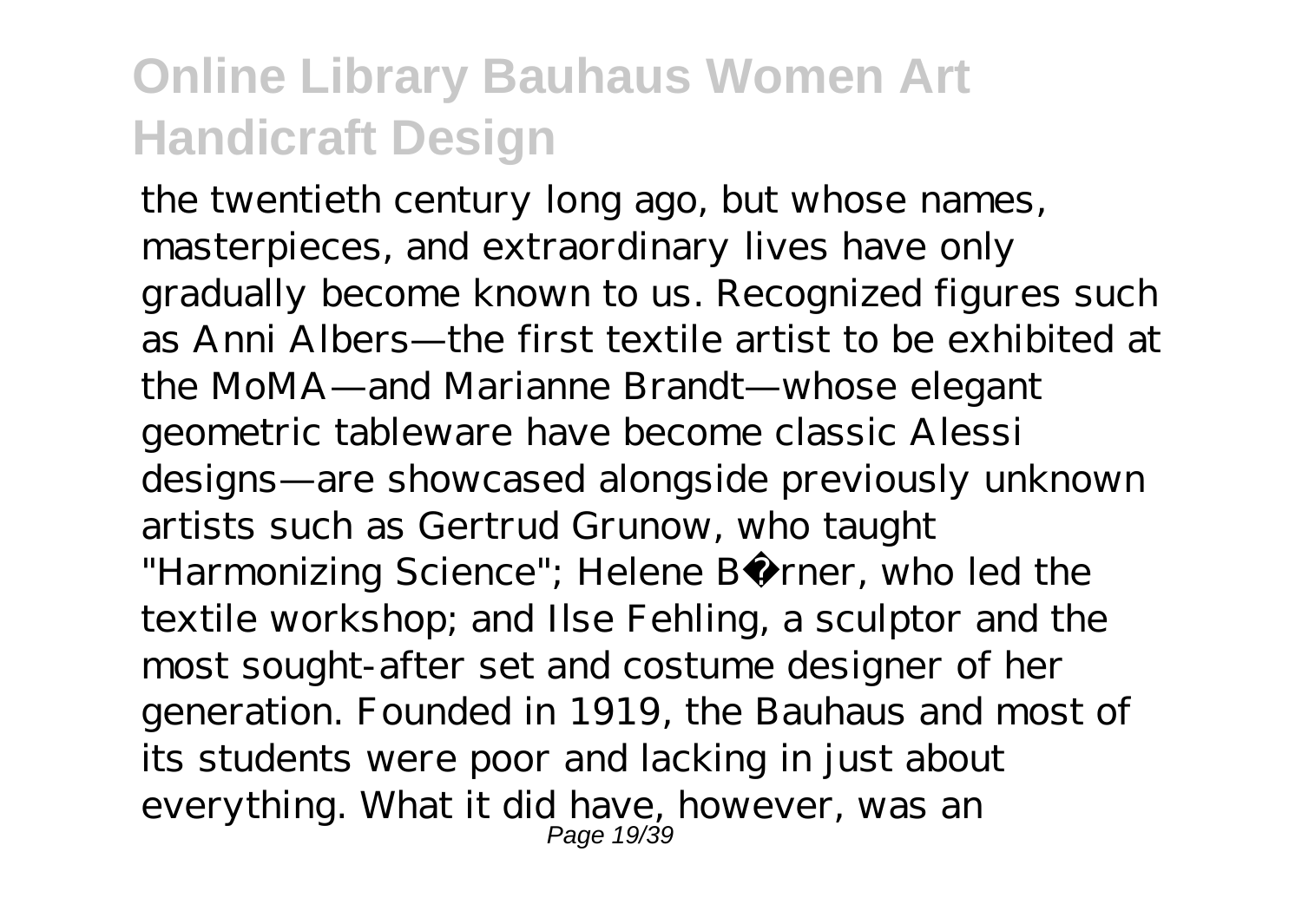the twentieth century long ago, but whose names, masterpieces, and extraordinary lives have only gradually become known to us. Recognized figures such as Anni Albers—the first textile artist to be exhibited at the MoMA—and Marianne Brandt—whose elegant geometric tableware have become classic Alessi designs—are showcased alongside previously unknown artists such as Gertrud Grunow, who taught "Harmonizing Science"; Helene Börner, who led the textile workshop; and Ilse Fehling, a sculptor and the most sought-after set and costume designer of her generation. Founded in 1919, the Bauhaus and most of its students were poor and lacking in just about everything. What it did have, however, was an Page 19/39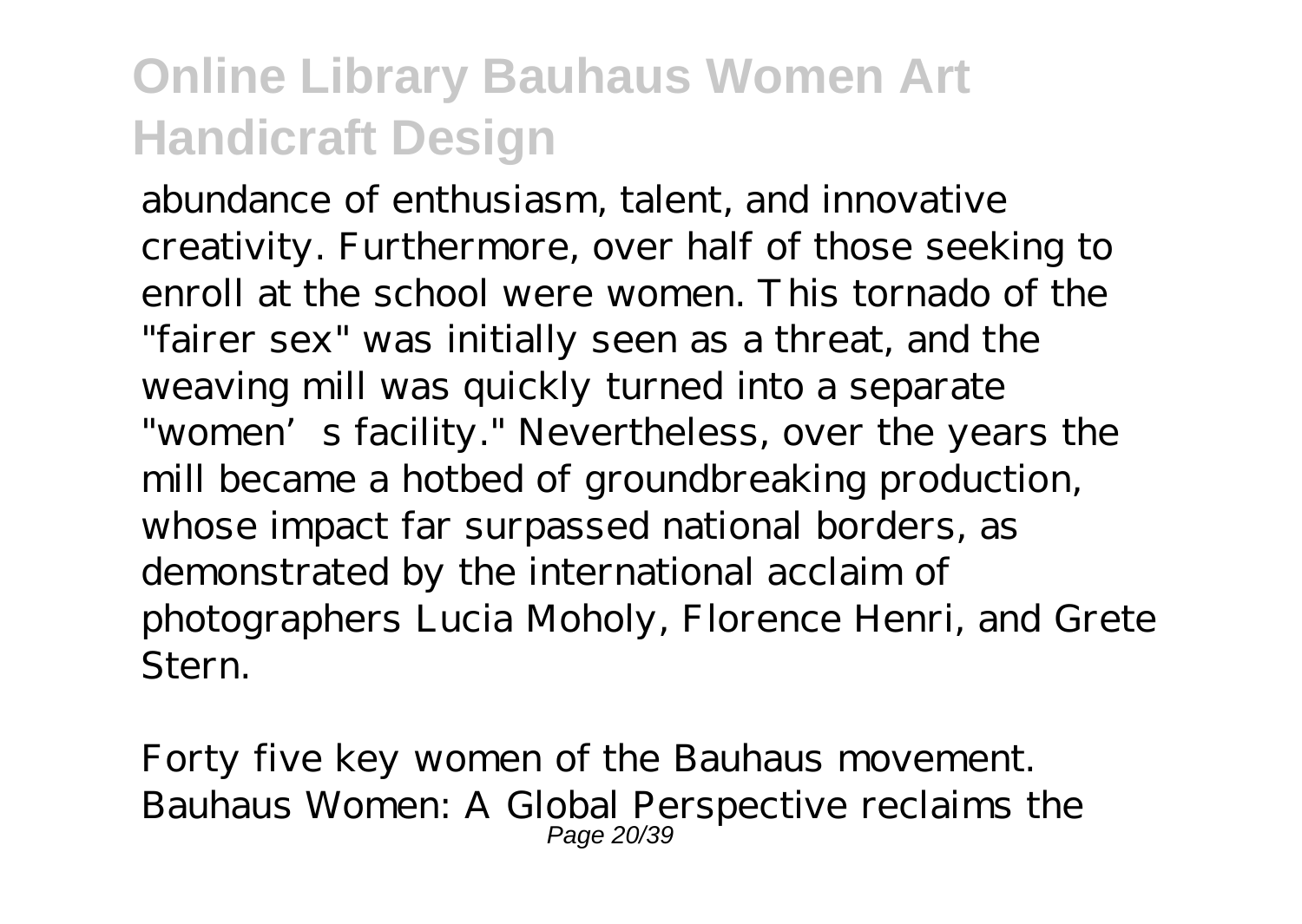abundance of enthusiasm, talent, and innovative creativity. Furthermore, over half of those seeking to enroll at the school were women. This tornado of the "fairer sex" was initially seen as a threat, and the weaving mill was quickly turned into a separate "women's facility." Nevertheless, over the years the mill became a hotbed of groundbreaking production, whose impact far surpassed national borders, as demonstrated by the international acclaim of photographers Lucia Moholy, Florence Henri, and Grete Stern.

Forty five key women of the Bauhaus movement. Bauhaus Women: A Global Perspective reclaims the Page 20/39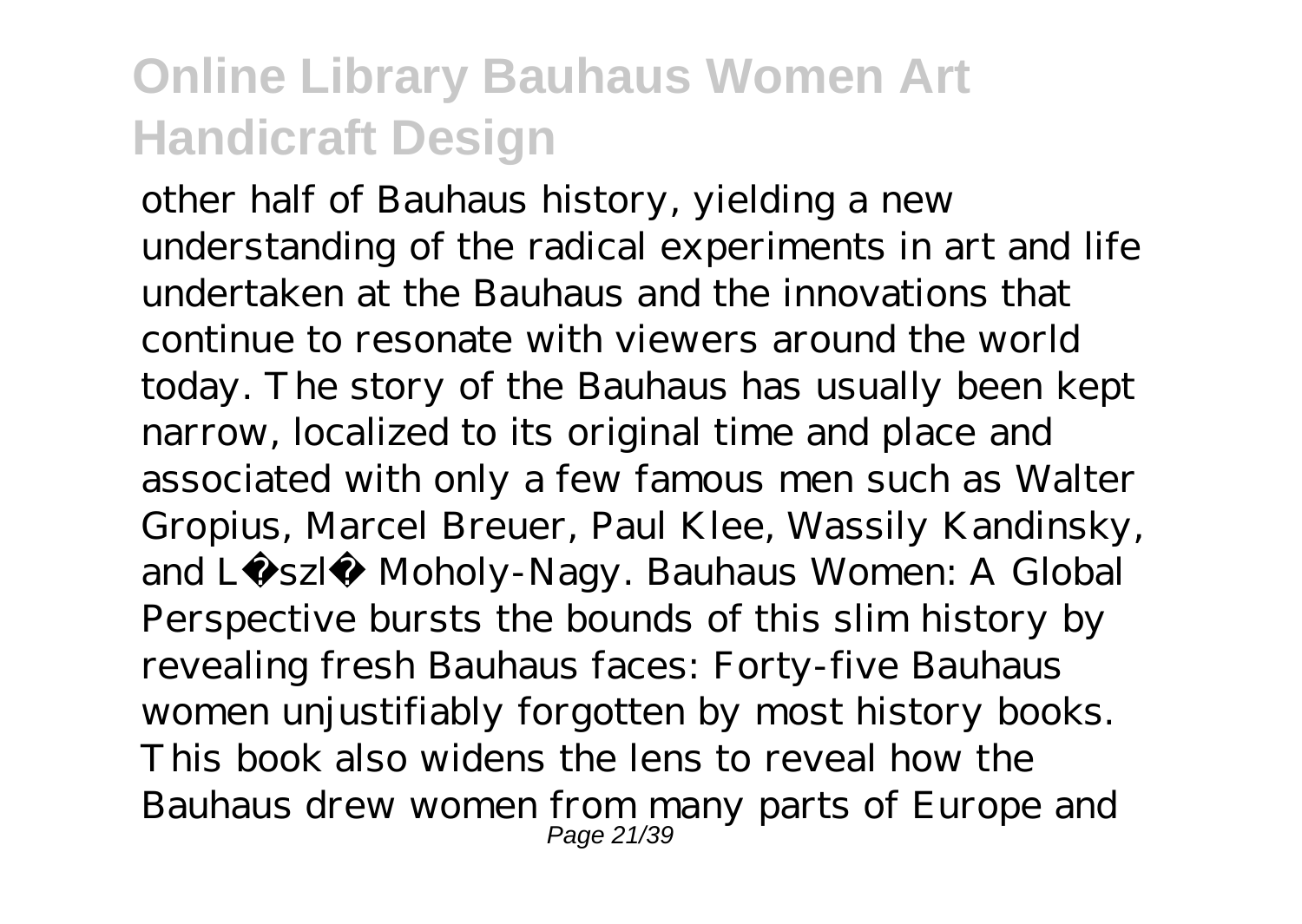other half of Bauhaus history, yielding a new understanding of the radical experiments in art and life undertaken at the Bauhaus and the innovations that continue to resonate with viewers around the world today. The story of the Bauhaus has usually been kept narrow, localized to its original time and place and associated with only a few famous men such as Walter Gropius, Marcel Breuer, Paul Klee, Wassily Kandinsky, and László Moholy-Nagy. Bauhaus Women: A Global Perspective bursts the bounds of this slim history by revealing fresh Bauhaus faces: Forty-five Bauhaus women unjustifiably forgotten by most history books. This book also widens the lens to reveal how the Bauhaus drew women from many parts of Europe and Page 21/39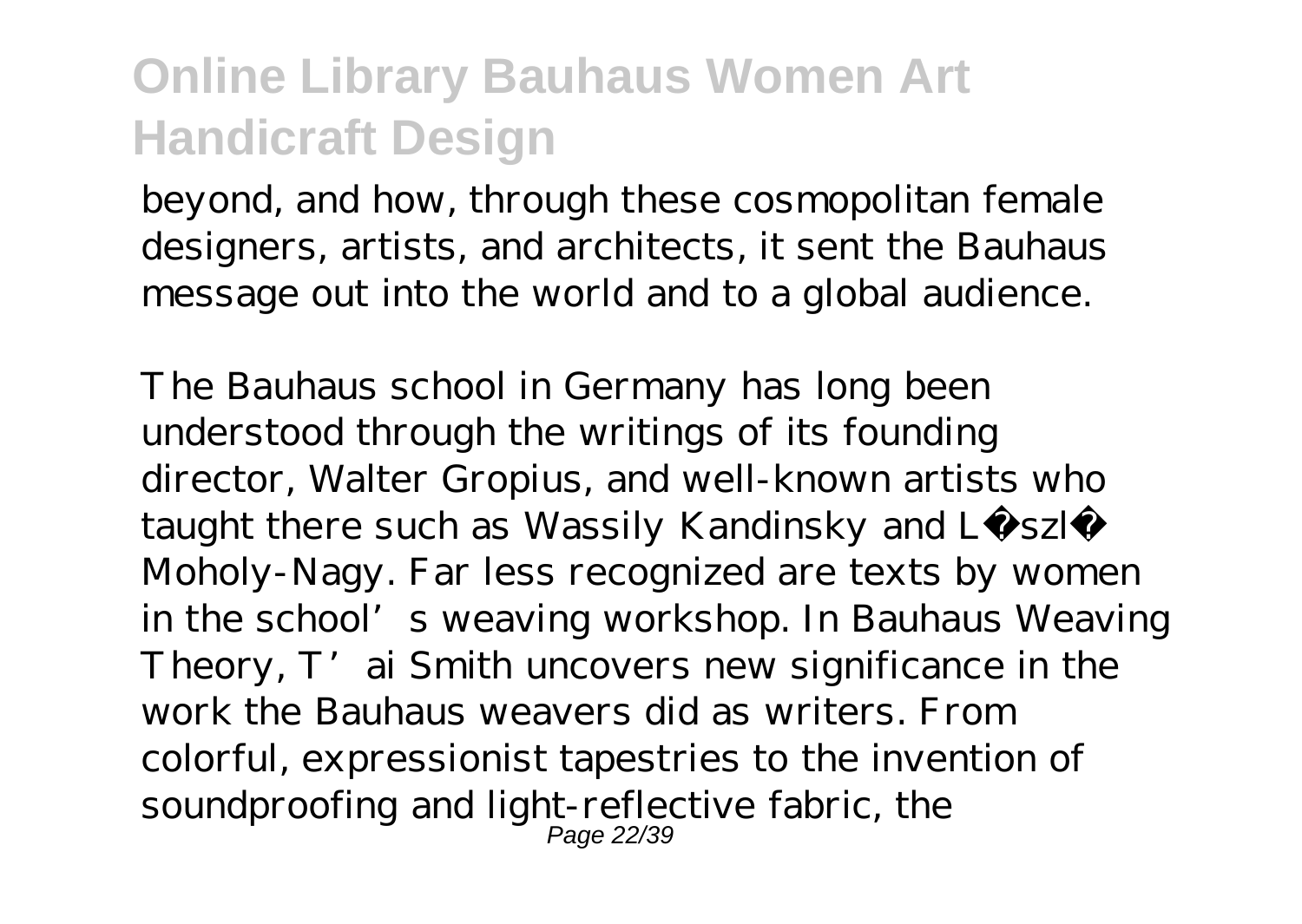beyond, and how, through these cosmopolitan female designers, artists, and architects, it sent the Bauhaus message out into the world and to a global audience.

The Bauhaus school in Germany has long been understood through the writings of its founding director, Walter Gropius, and well-known artists who taught there such as Wassily Kandinsky and Lá szló Moholy-Nagy. Far less recognized are texts by women in the school's weaving workshop. In Bauhaus Weaving Theory, T' ai Smith uncovers new significance in the work the Bauhaus weavers did as writers. From colorful, expressionist tapestries to the invention of soundproofing and light-reflective fabric, the Page 22/39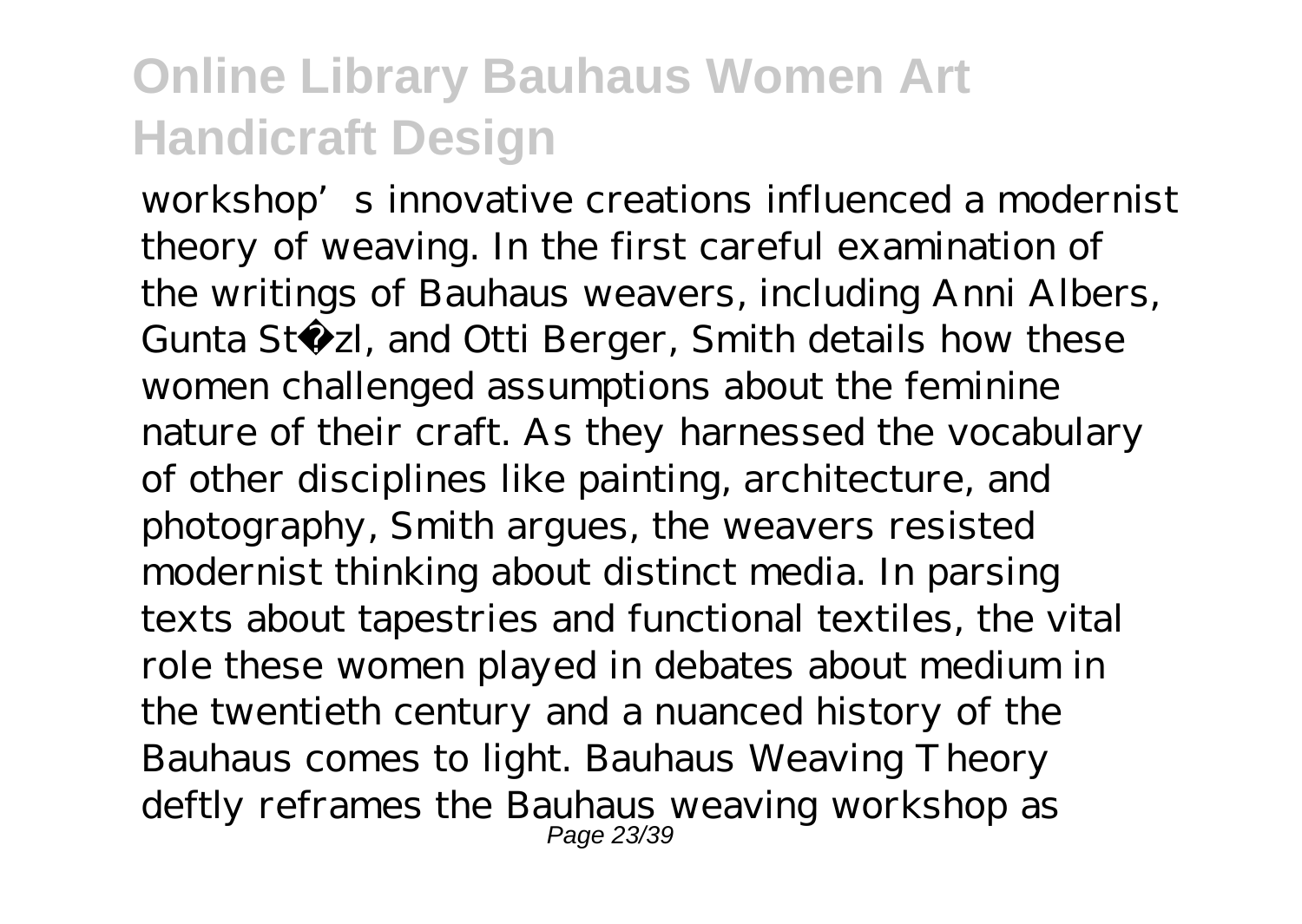workshop's innovative creations influenced a modernist theory of weaving. In the first careful examination of the writings of Bauhaus weavers, including Anni Albers, Gunta Stö zl, and Otti Berger, Smith details how these women challenged assumptions about the feminine nature of their craft. As they harnessed the vocabulary of other disciplines like painting, architecture, and photography, Smith argues, the weavers resisted modernist thinking about distinct media. In parsing texts about tapestries and functional textiles, the vital role these women played in debates about medium in the twentieth century and a nuanced history of the Bauhaus comes to light. Bauhaus Weaving Theory deftly reframes the Bauhaus weaving workshop as Page 23/39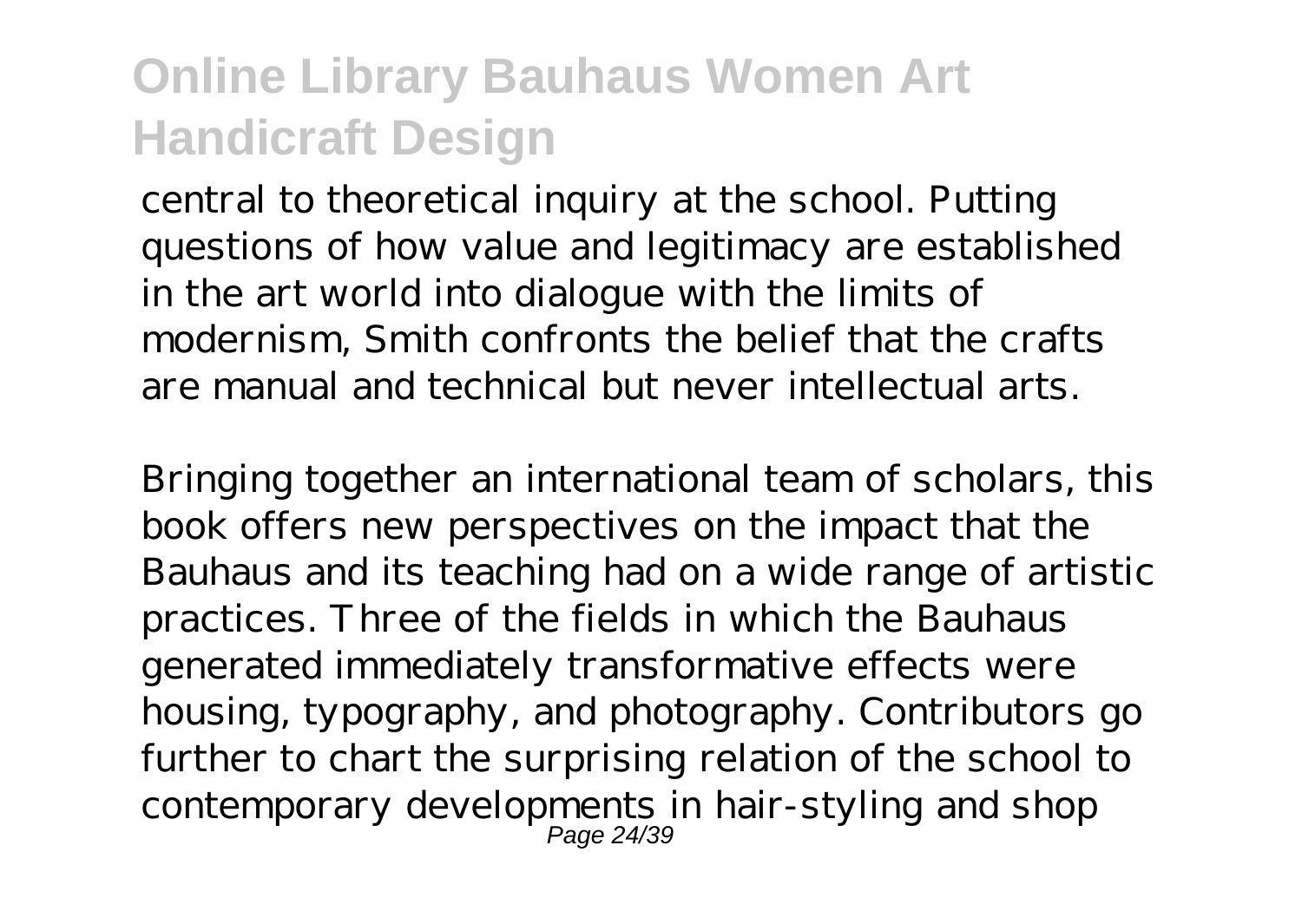central to theoretical inquiry at the school. Putting questions of how value and legitimacy are established in the art world into dialogue with the limits of modernism, Smith confronts the belief that the crafts are manual and technical but never intellectual arts.

Bringing together an international team of scholars, this book offers new perspectives on the impact that the Bauhaus and its teaching had on a wide range of artistic practices. Three of the fields in which the Bauhaus generated immediately transformative effects were housing, typography, and photography. Contributors go further to chart the surprising relation of the school to contemporary developments in hair-styling and shop Page 24/39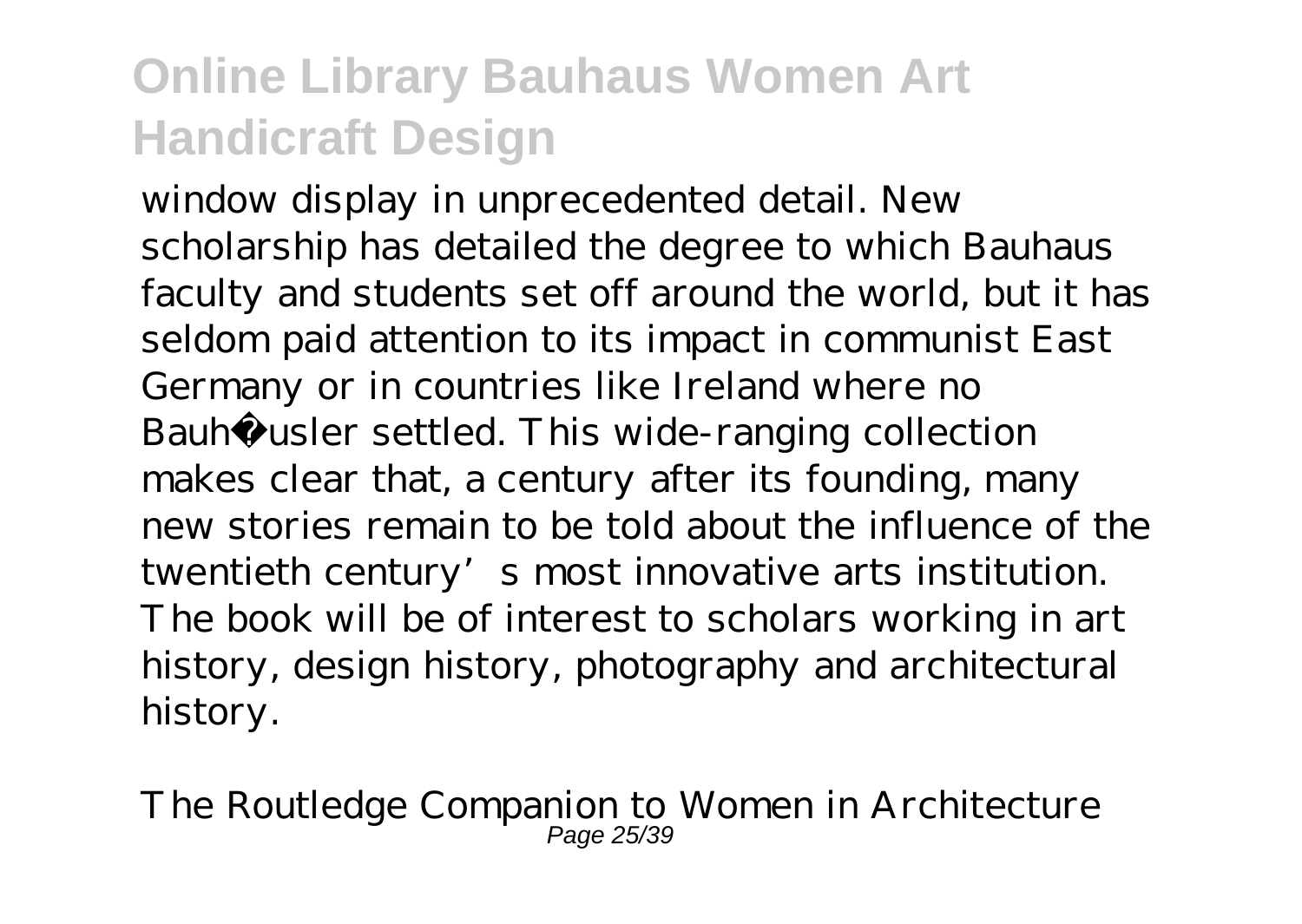window display in unprecedented detail. New scholarship has detailed the degree to which Bauhaus faculty and students set off around the world, but it has seldom paid attention to its impact in communist East Germany or in countries like Ireland where no Bauhäusler settled. This wide-ranging collection makes clear that, a century after its founding, many new stories remain to be told about the influence of the twentieth century's most innovative arts institution. The book will be of interest to scholars working in art history, design history, photography and architectural history.

The Routledge Companion to Women in Architecture Page 25/39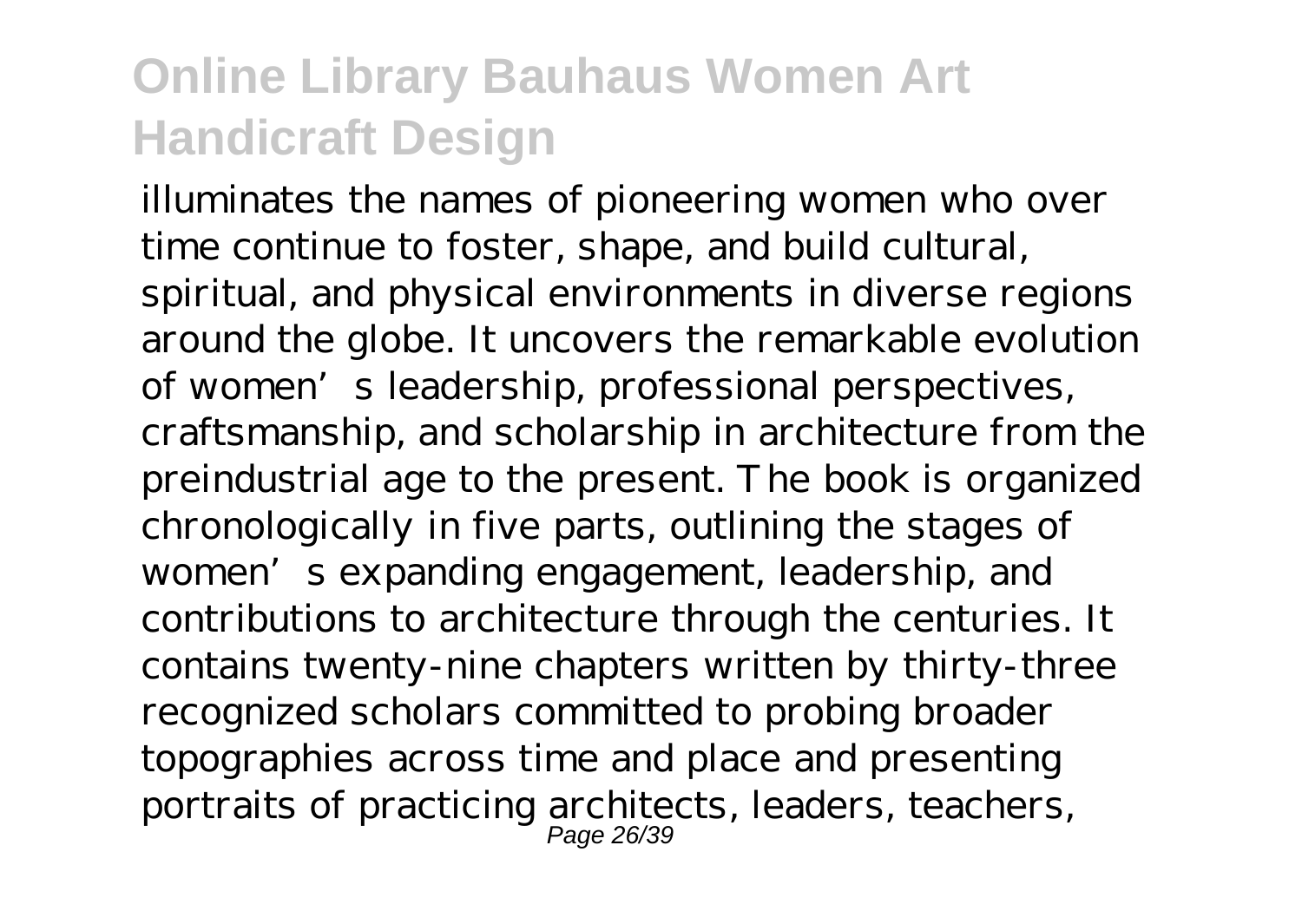illuminates the names of pioneering women who over time continue to foster, shape, and build cultural, spiritual, and physical environments in diverse regions around the globe. It uncovers the remarkable evolution of women's leadership, professional perspectives, craftsmanship, and scholarship in architecture from the preindustrial age to the present. The book is organized chronologically in five parts, outlining the stages of women's expanding engagement, leadership, and contributions to architecture through the centuries. It contains twenty-nine chapters written by thirty-three recognized scholars committed to probing broader topographies across time and place and presenting portraits of practicing architects, leaders, teachers, Page 26/39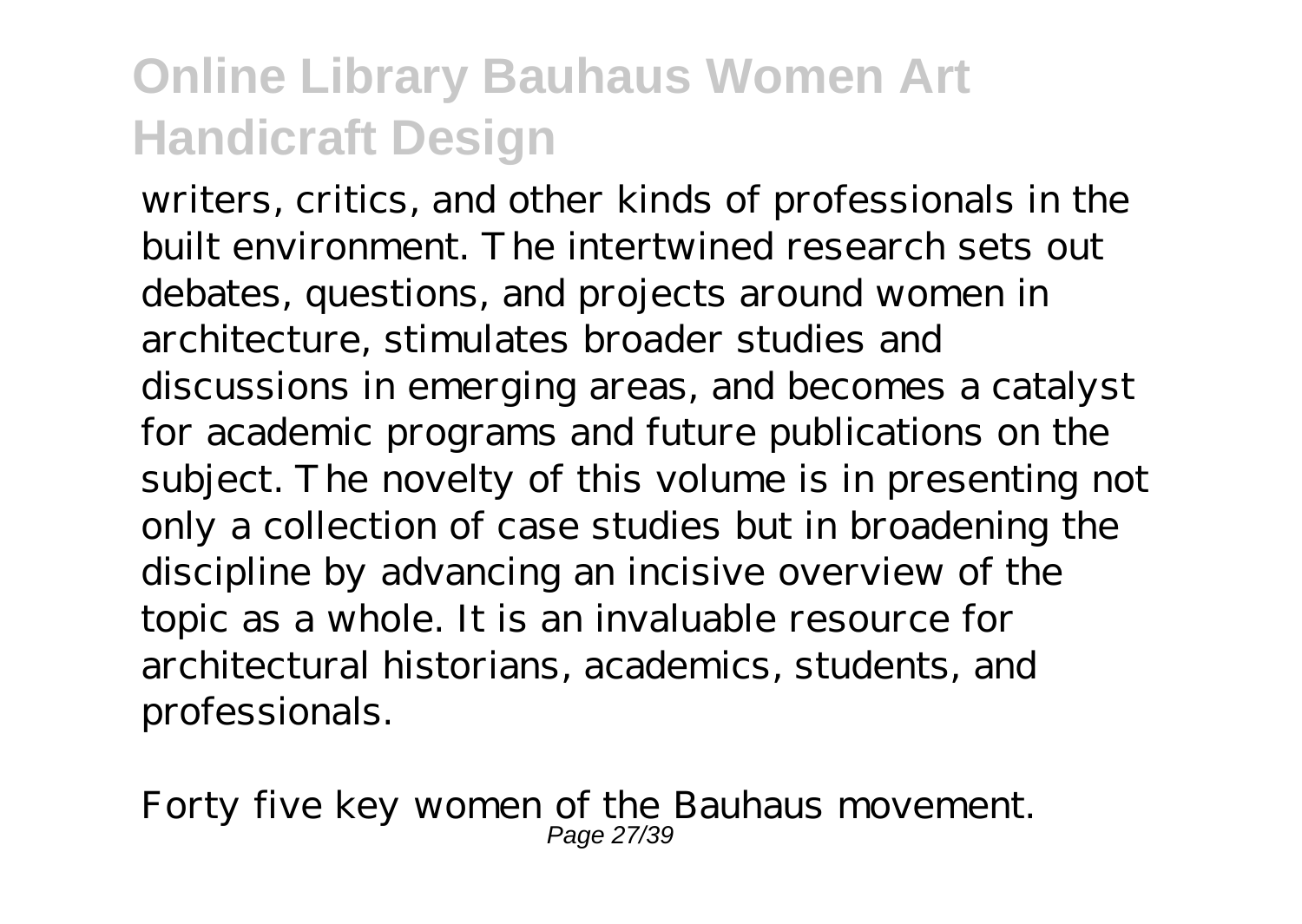writers, critics, and other kinds of professionals in the built environment. The intertwined research sets out debates, questions, and projects around women in architecture, stimulates broader studies and discussions in emerging areas, and becomes a catalyst for academic programs and future publications on the subject. The novelty of this volume is in presenting not only a collection of case studies but in broadening the discipline by advancing an incisive overview of the topic as a whole. It is an invaluable resource for architectural historians, academics, students, and professionals.

Forty five key women of the Bauhaus movement. Page 27/39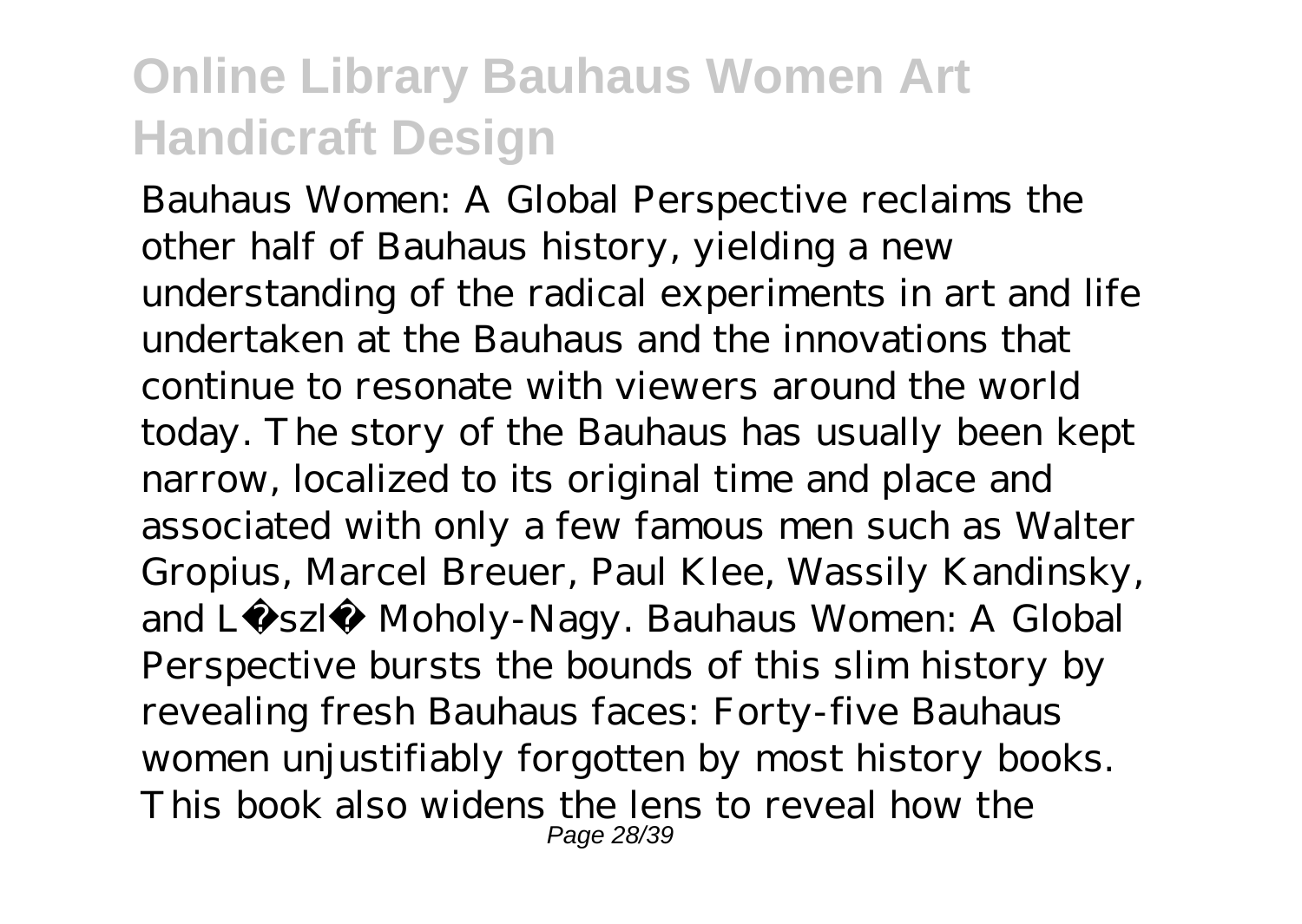Bauhaus Women: A Global Perspective reclaims the other half of Bauhaus history, yielding a new understanding of the radical experiments in art and life undertaken at the Bauhaus and the innovations that continue to resonate with viewers around the world today. The story of the Bauhaus has usually been kept narrow, localized to its original time and place and associated with only a few famous men such as Walter Gropius, Marcel Breuer, Paul Klee, Wassily Kandinsky, and László Moholy-Nagy. Bauhaus Women: A Global Perspective bursts the bounds of this slim history by revealing fresh Bauhaus faces: Forty-five Bauhaus women unjustifiably forgotten by most history books. This book also widens the lens to reveal how the Page 28/39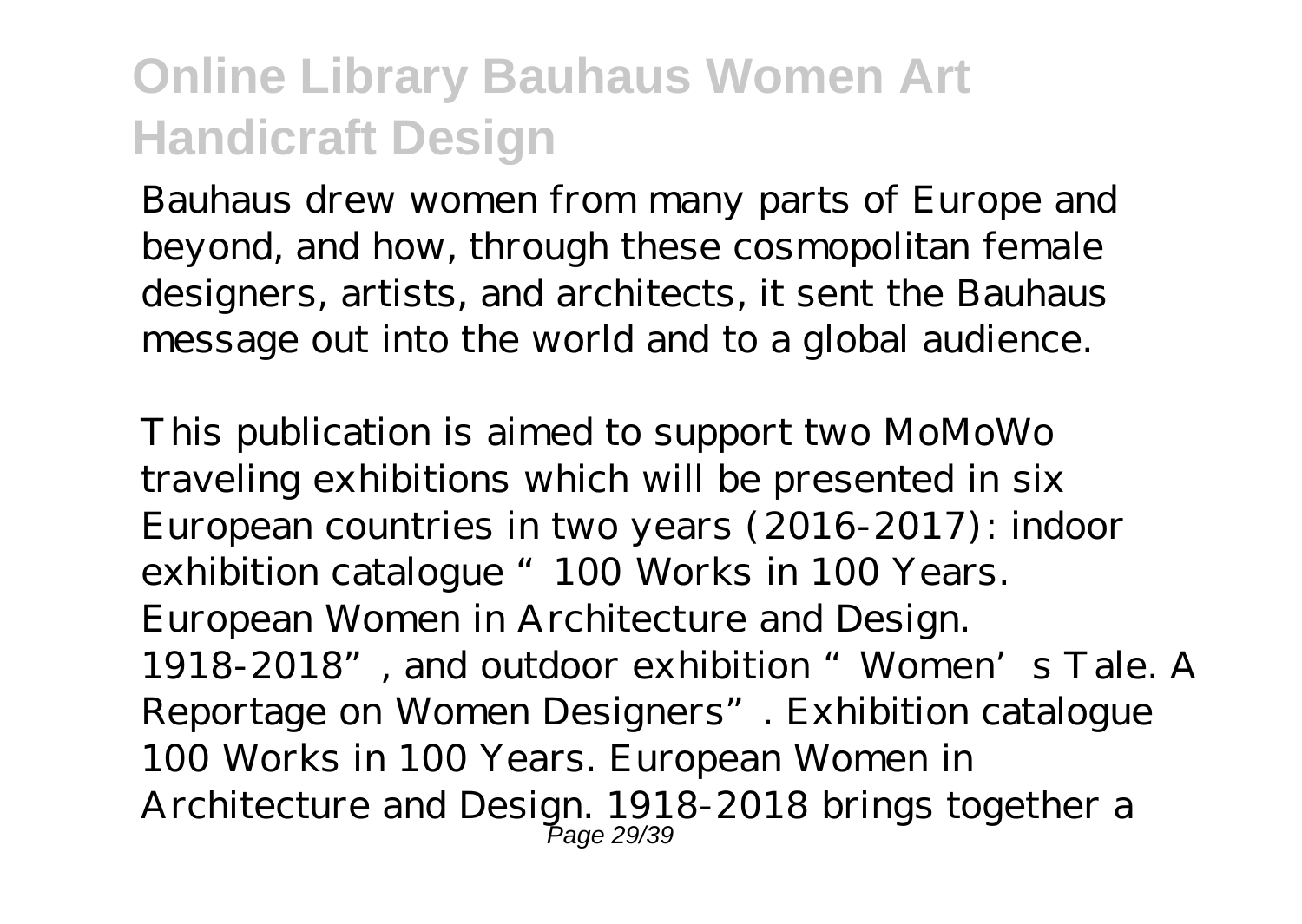Bauhaus drew women from many parts of Europe and beyond, and how, through these cosmopolitan female designers, artists, and architects, it sent the Bauhaus message out into the world and to a global audience.

This publication is aimed to support two MoMoWo traveling exhibitions which will be presented in six European countries in two years (2016-2017): indoor exhibition catalogue "100 Works in 100 Years. European Women in Architecture and Design. 1918-2018", and outdoor exhibition "Women's Tale. A Reportage on Women Designers". Exhibition catalogue 100 Works in 100 Years. European Women in Architecture and Design. 1918-2018 brings together a Page 29/39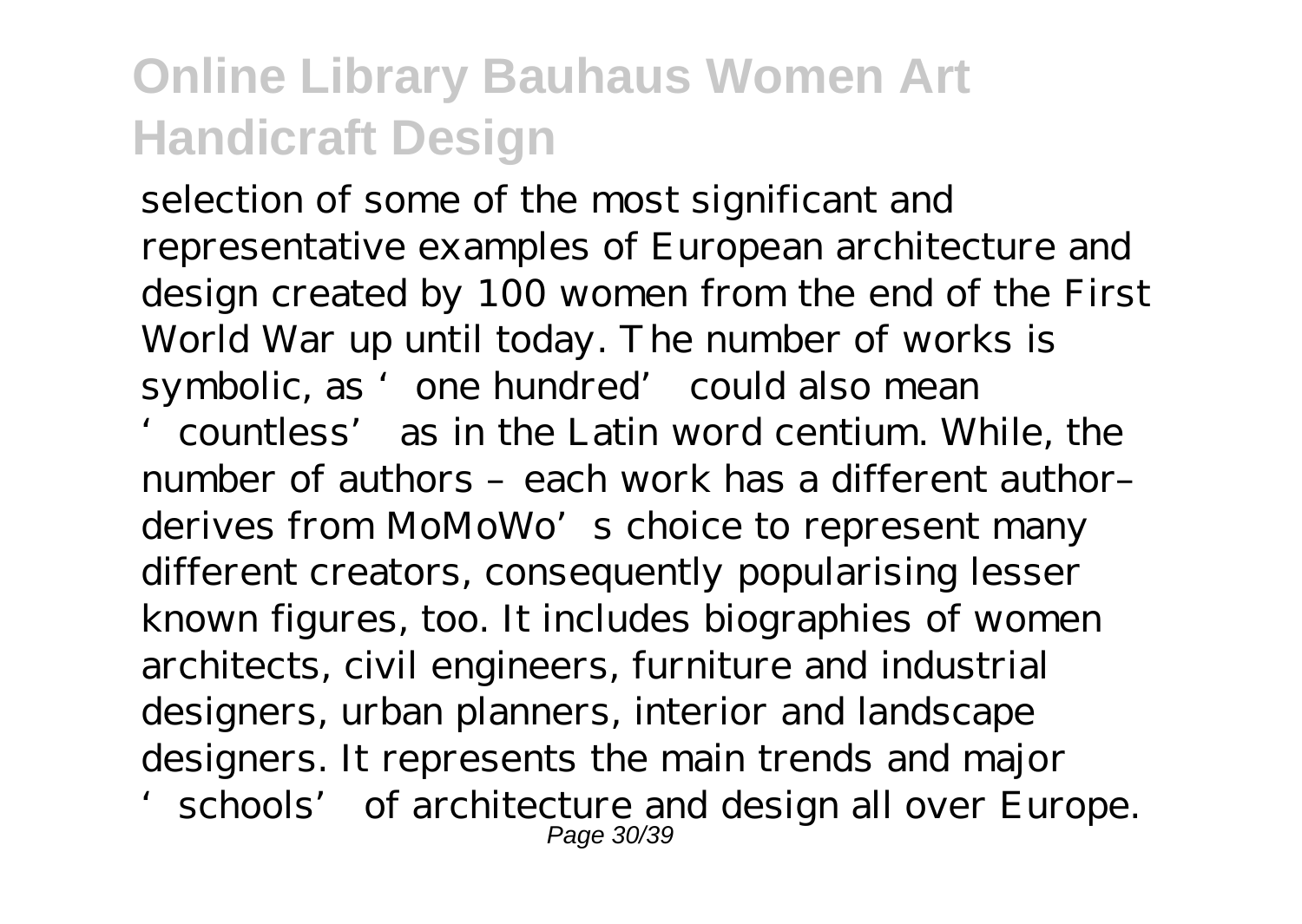selection of some of the most significant and representative examples of European architecture and design created by 100 women from the end of the First World War up until today. The number of works is symbolic, as 'one hundred' could also mean

'countless' as in the Latin word centium. While, the number of authors – each work has a different authorderives from MoMoWo's choice to represent many different creators, consequently popularising lesser known figures, too. It includes biographies of women architects, civil engineers, furniture and industrial designers, urban planners, interior and landscape designers. It represents the main trends and major 'schools' of architecture and design all over Europe. Page 30/39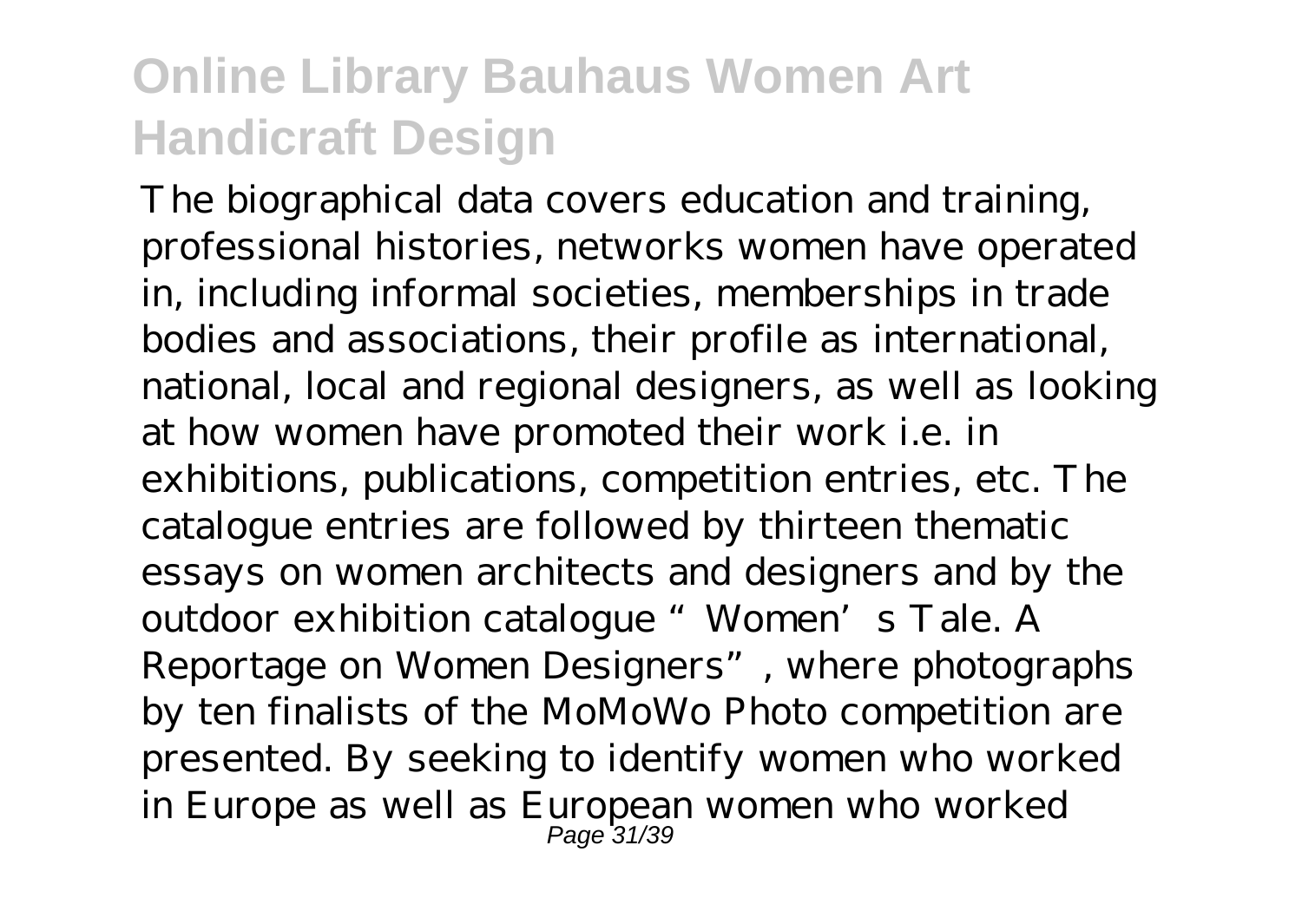The biographical data covers education and training, professional histories, networks women have operated in, including informal societies, memberships in trade bodies and associations, their profile as international, national, local and regional designers, as well as looking at how women have promoted their work i.e. in exhibitions, publications, competition entries, etc. The catalogue entries are followed by thirteen thematic essays on women architects and designers and by the outdoor exhibition catalogue "Women's Tale. A Reportage on Women Designers", where photographs by ten finalists of the MoMoWo Photo competition are presented. By seeking to identify women who worked in Europe as well as European women who worked Page 31/39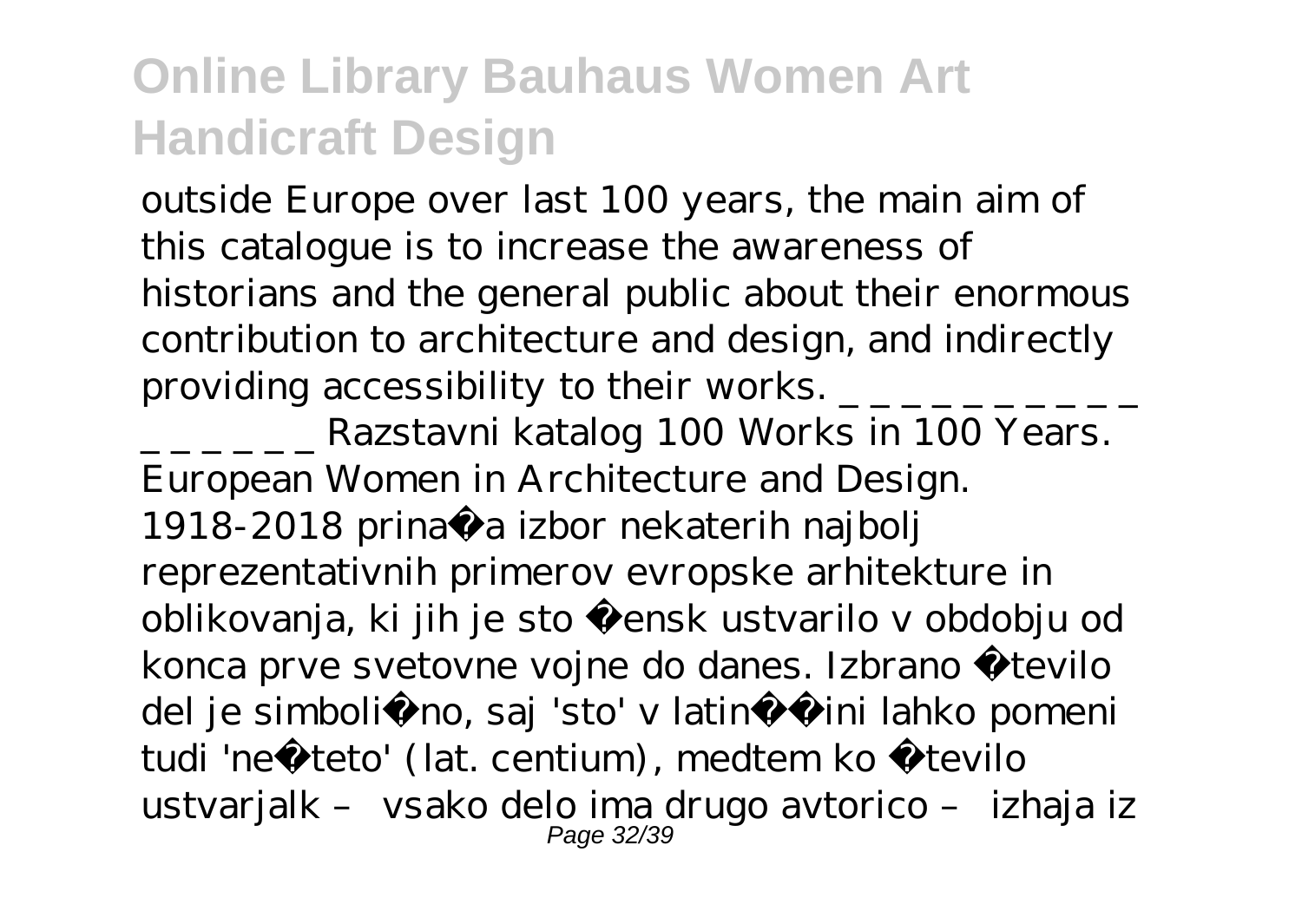outside Europe over last 100 years, the main aim of this catalogue is to increase the awareness of historians and the general public about their enormous contribution to architecture and design, and indirectly providing accessibility to their works.  $\frac{1}{2}$   $\frac{1}{2}$   $\frac{1}{2}$   $\frac{1}{2}$ 

\_ \_ \_ \_ \_ \_ Razstavni katalog 100 Works in 100 Years. European Women in Architecture and Design. 1918-2018 prinaša izbor nekaterih najbolj reprezentativnih primerov evropske arhitekture in oblikovanja, ki jih je sto žensk ustvarilo v obdobju od konca prve svetovne vojne do danes. Izbrano število del je simboli no, saj 'sto' v latinšini lahko pomeni tudi 'nešteto' (lat. centium), medtem ko število ustvarjalk – vsako delo ima drugo avtorico – izhaja iz Page 32/39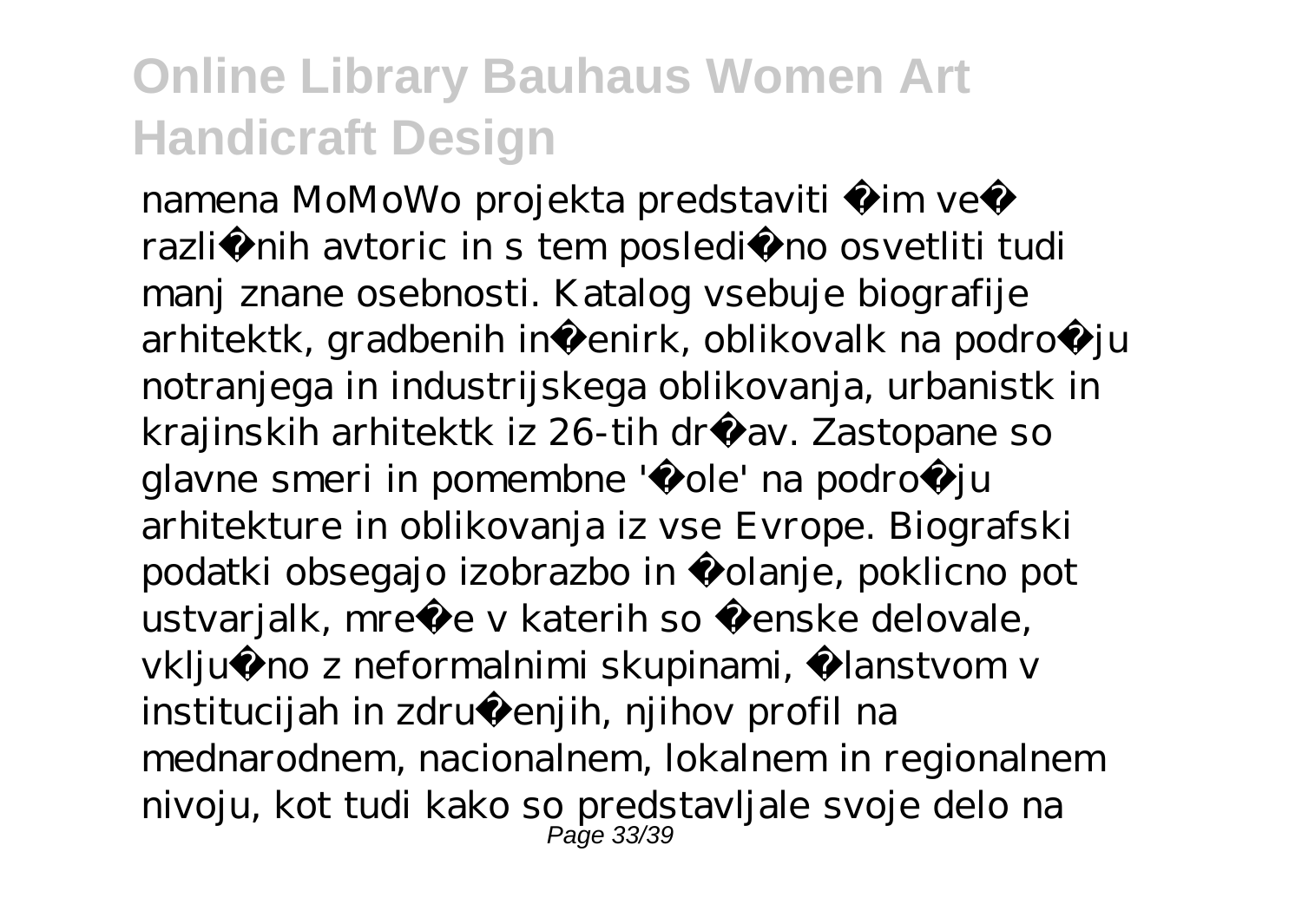namena MoMoWo projekta predstaviti im ve razli nih avtoric in s tem posledi no osvetliti tudi manj znane osebnosti. Katalog vsebuje biografije arhitektk, gradbenih inženirk, oblikovalk na podro $i$ u notranjega in industrijskega oblikovanja, urbanistk in krajinskih arhitektk iz 26-tih držav. Zastopane so glavne smeri in pomembne 'š ole' na podro ju arhitekture in oblikovanja iz vse Evrope. Biografski podatki obsegajo izobrazbo in šolanje, poklicno pot ustvarjalk, mreže v katerih so ženske delovale, vklju no z neformalnimi skupinami, lanstvom v institucijah in združenjih, njihov profil na mednarodnem, nacionalnem, lokalnem in regionalnem nivoju, kot tudi kako so predstavljale svoje delo na Page 33/39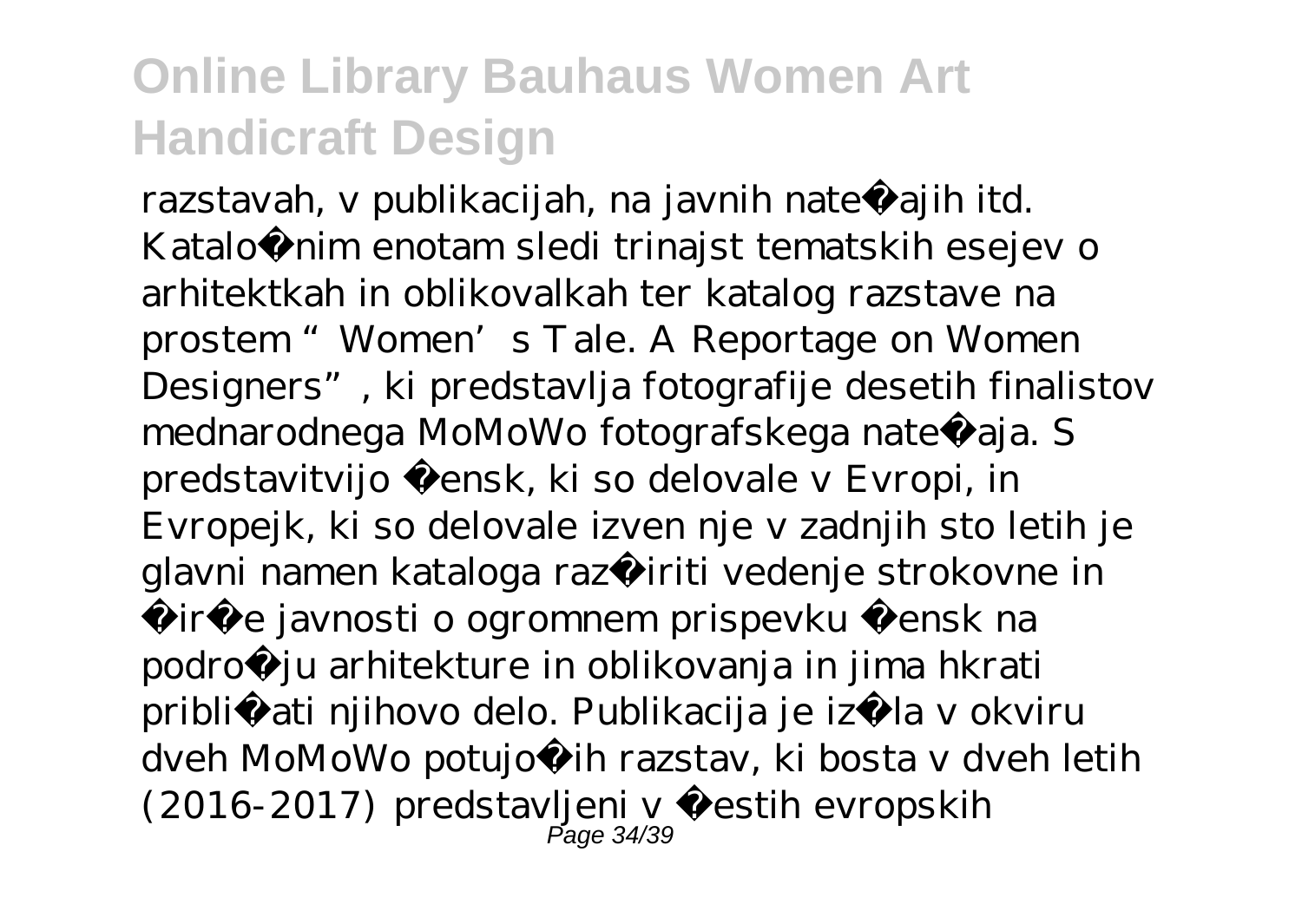razstavah, v publikacijah, na javnih nate ajih itd. Kataložnim enotam sledi trinajst tematskih esejev o arhitektkah in oblikovalkah ter katalog razstave na prostem "Women's Tale. A Reportage on Women Designers", ki predstavlja fotografije desetih finalistov mednarodnega MoMoWo fotografskega nate aja. S predstavitvijo žensk, ki so delovale v Evropi, in Evropejk, ki so delovale izven nje v zadnjih sto letih je glavni namen kataloga razširiti vedenje strokovne in širše javnosti o ogromnem prispevku žensk na področju arhitekture in oblikovanja in jima hkrati približ ati njihovo delo. Publikacija je izšla v okviru dveh MoMoWo potujo ih razstav, ki bosta v dveh letih (2016-2017) predstavljeni v šestih evropskih Page 34/39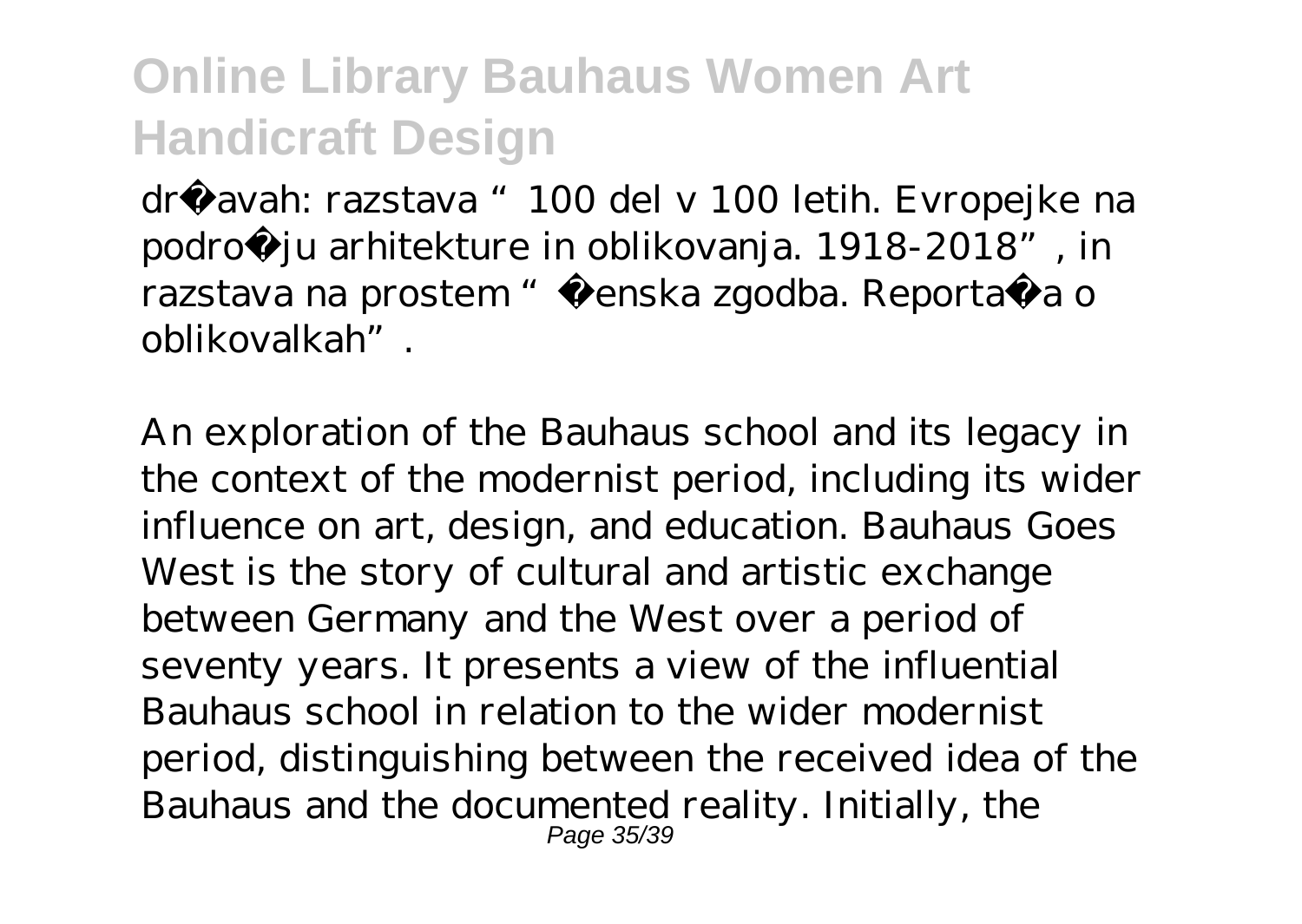državah: razstava "100 del v 100 letih. Evropejke na podro ju arhitekture in oblikovanja. 1918-2018", in razstava na prostem" Ženska zgodba. Reportaža o oblikovalkah".

An exploration of the Bauhaus school and its legacy in the context of the modernist period, including its wider influence on art, design, and education. Bauhaus Goes West is the story of cultural and artistic exchange between Germany and the West over a period of seventy years. It presents a view of the influential Bauhaus school in relation to the wider modernist period, distinguishing between the received idea of the Bauhaus and the documented reality. Initially, the Page 35/39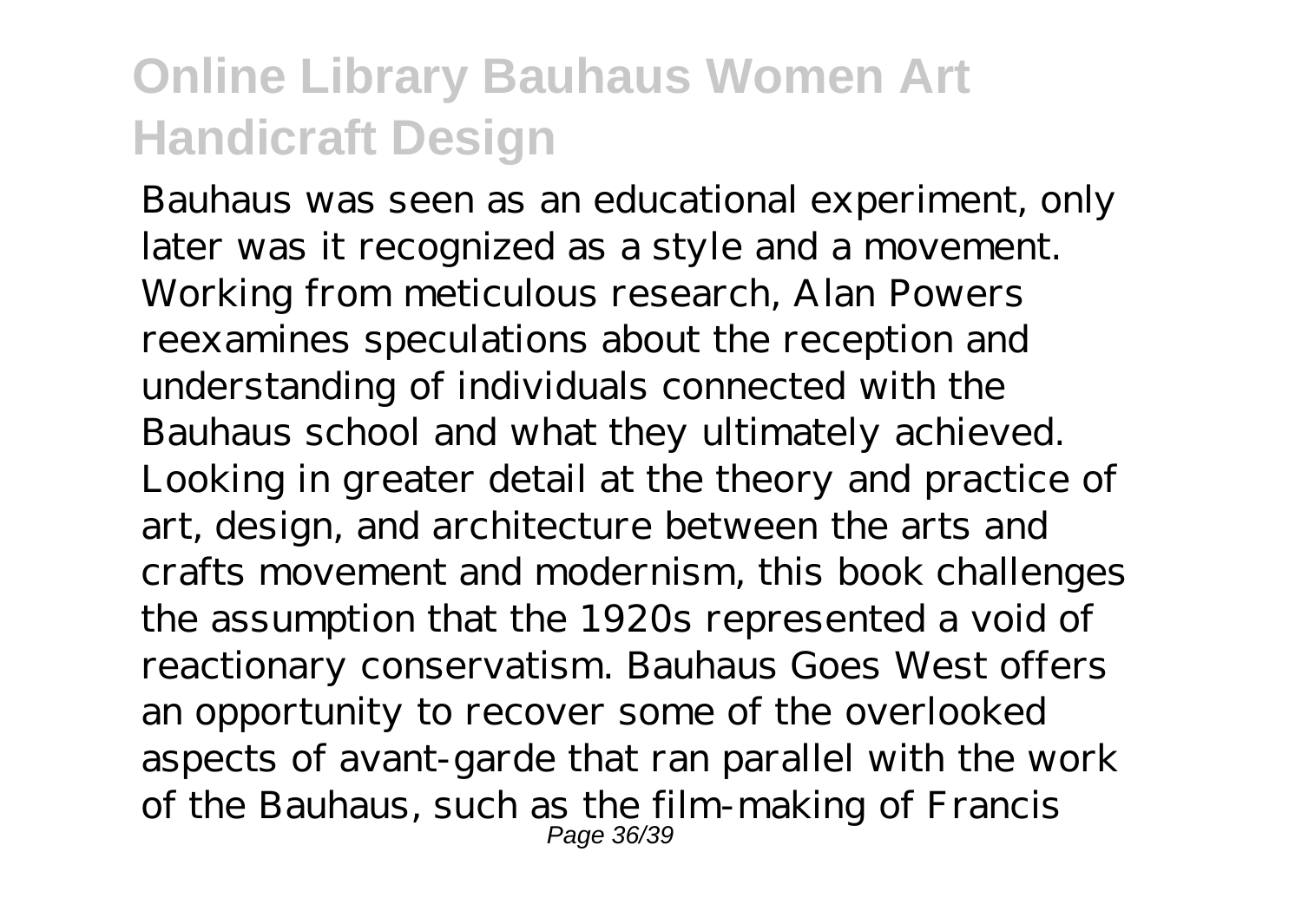Bauhaus was seen as an educational experiment, only later was it recognized as a style and a movement. Working from meticulous research, Alan Powers reexamines speculations about the reception and understanding of individuals connected with the Bauhaus school and what they ultimately achieved. Looking in greater detail at the theory and practice of art, design, and architecture between the arts and crafts movement and modernism, this book challenges the assumption that the 1920s represented a void of reactionary conservatism. Bauhaus Goes West offers an opportunity to recover some of the overlooked aspects of avant-garde that ran parallel with the work of the Bauhaus, such as the film-making of Francis Page 36/39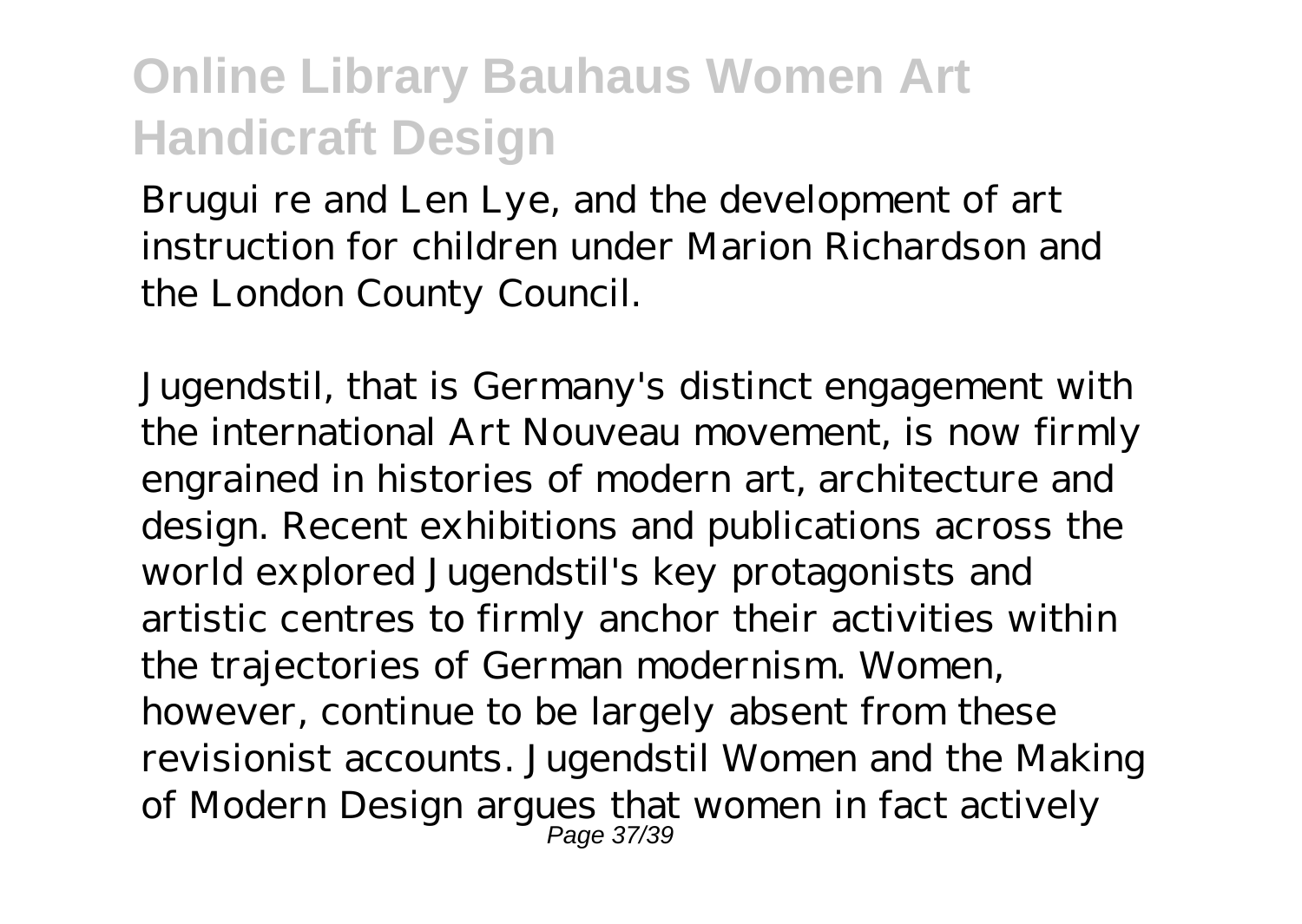Brugui re and Len Lye, and the development of art instruction for children under Marion Richardson and the London County Council.

Jugendstil, that is Germany's distinct engagement with the international Art Nouveau movement, is now firmly engrained in histories of modern art, architecture and design. Recent exhibitions and publications across the world explored Jugendstil's key protagonists and artistic centres to firmly anchor their activities within the trajectories of German modernism. Women, however, continue to be largely absent from these revisionist accounts. Jugendstil Women and the Making of Modern Design argues that women in fact actively Page 37/39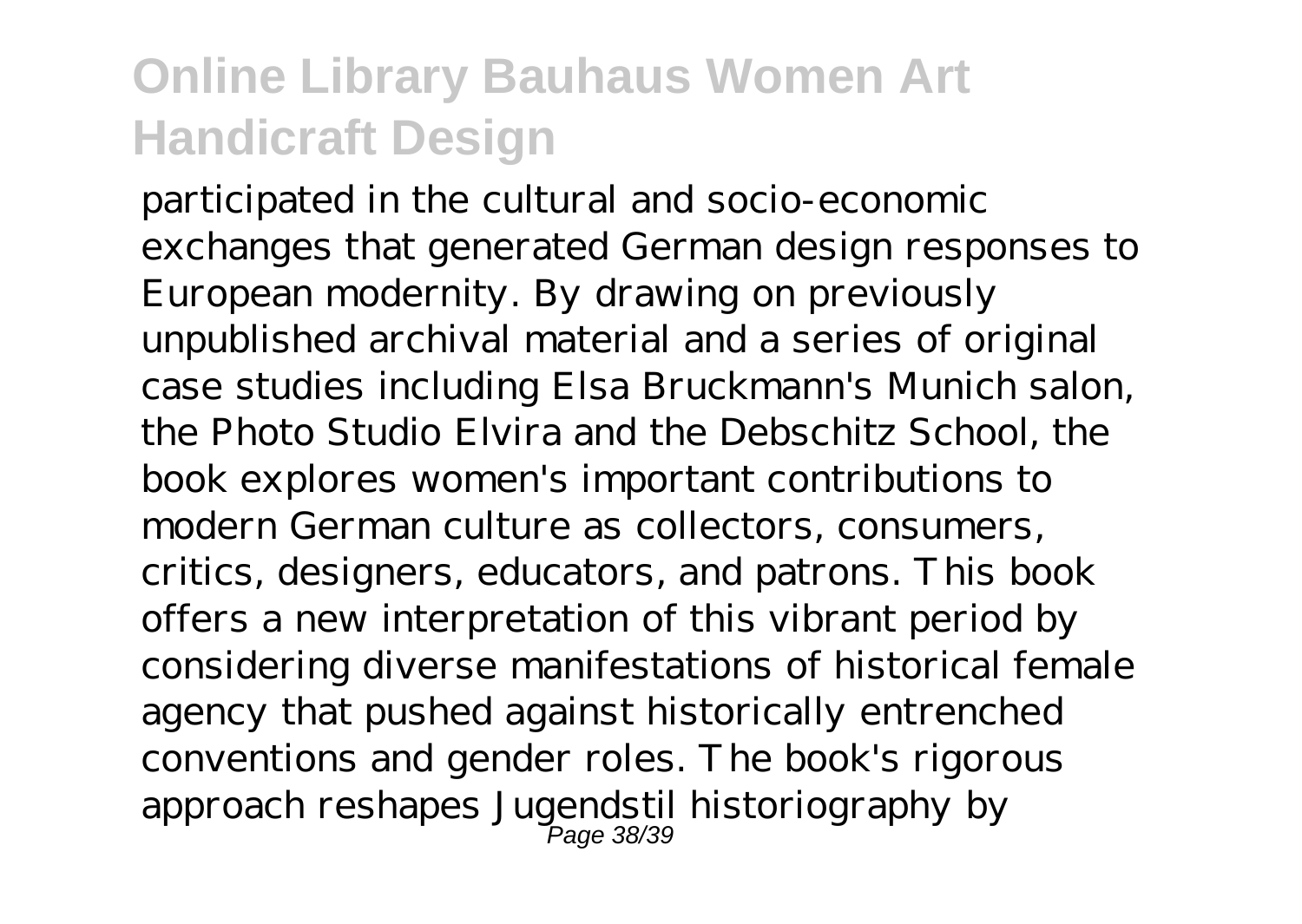participated in the cultural and socio-economic exchanges that generated German design responses to European modernity. By drawing on previously unpublished archival material and a series of original case studies including Elsa Bruckmann's Munich salon, the Photo Studio Elvira and the Debschitz School, the book explores women's important contributions to modern German culture as collectors, consumers, critics, designers, educators, and patrons. This book offers a new interpretation of this vibrant period by considering diverse manifestations of historical female agency that pushed against historically entrenched conventions and gender roles. The book's rigorous approach reshapes Jugendstil historiography by Page 38/39